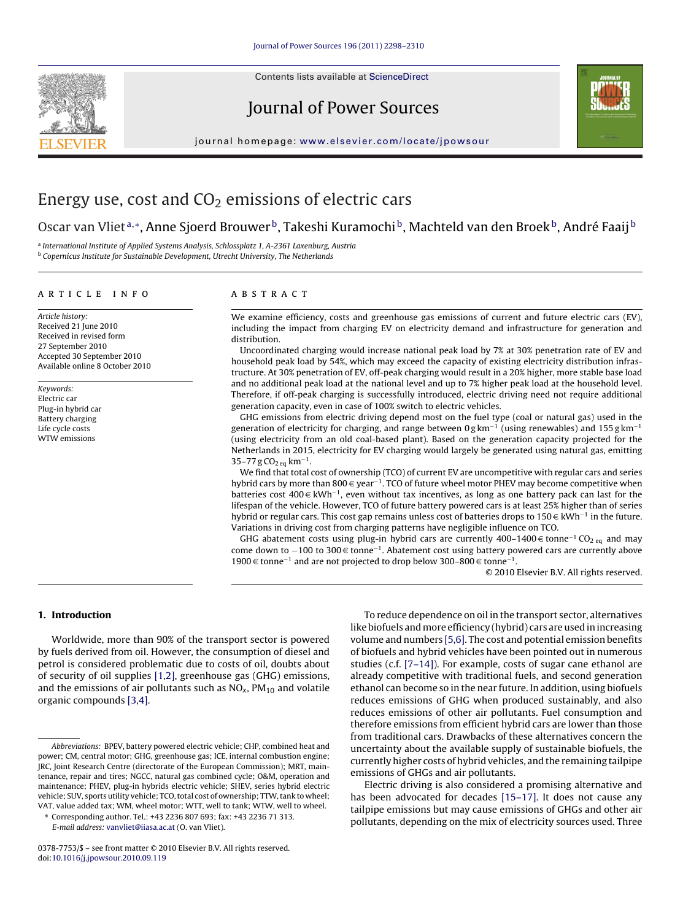Contents lists available at [ScienceDirect](http://www.sciencedirect.com/science/journal/03787753)







journal homepage: [www.elsevier.com/locate/jpowsour](http://www.elsevier.com/locate/jpowsour)

# Energy use, cost and  $CO<sub>2</sub>$  emissions of electric cars

## Oscar van Vliet<sup>a,∗</sup>, Anne Sjoerd Brouwer<sup>b</sup>, Takeshi Kuramochi<sup>b</sup>, Machteld van den Broek<sup>b</sup>, André Faaij<sup>b</sup>

<sup>a</sup> International Institute of Applied Systems Analysis, Schlossplatz 1, A-2361 Laxenburg, Austria  $b$  Copernicus Institute for Sustainable Development, Utrecht University, The Netherlands

## article info

Article history: Received 21 June 2010 Received in revised form 27 September 2010 Accepted 30 September 2010 Available online 8 October 2010

Keywords: Electric car Plug-in hybrid car Battery charging Life cycle costs WTW emissions

## ABSTRACT

We examine efficiency, costs and greenhouse gas emissions of current and future electric cars (EV), including the impact from charging EV on electricity demand and infrastructure for generation and distribution.

Uncoordinated charging would increase national peak load by 7% at 30% penetration rate of EV and household peak load by 54%, which may exceed the capacity of existing electricity distribution infrastructure. At 30% penetration of EV, off-peak charging would result in a 20% higher, more stable base load and no additional peak load at the national level and up to 7% higher peak load at the household level. Therefore, if off-peak charging is successfully introduced, electric driving need not require additional generation capacity, even in case of 100% switch to electric vehicles.

GHG emissions from electric driving depend most on the fuel type (coal or natural gas) used in the generation of electricity for charging, and range between  $0 \text{ g km}^{-1}$  (using renewables) and 155 g km<sup>-1</sup> (using electricity from an old coal-based plant). Based on the generation capacity projected for the Netherlands in 2015, electricity for EV charging would largely be generated using natural gas, emitting  $35-77$  g CO<sub>2 eq</sub> km<sup>-1</sup>.

We find that total cost of ownership (TCO) of current EV are uncompetitive with regular cars and series hybrid cars by more than 800 € year<sup>-1</sup>. TCO of future wheel motor PHEV may become competitive when batteries cost 400 € kWh<sup>-1</sup>, even without tax incentives, as long as one battery pack can last for the lifespan of the vehicle. However, TCO of future battery powered cars is at least 25% higher than of series hybrid or regular cars. This cost gap remains unless cost of batteries drops to 150 € kWh<sup>-1</sup> in the future. Variations in driving cost from charging patterns have negligible influence on TCO.

GHG abatement costs using plug-in hybrid cars are currently 400–1400 € tonne<sup>-1</sup> CO<sub>2 eq</sub> and may come down to −100 to 300 € tonne<sup>-1</sup>. Abatement cost using battery powered cars are currently above 1900 € tonne<sup>-1</sup> and are not projected to drop below 300–800 € tonne<sup>-1</sup>.

© 2010 Elsevier B.V. All rights reserved.

## **1. Introduction**

Worldwide, more than 90% of the transport sector is powered by fuels derived from oil. However, the consumption of diesel and petrol is considered problematic due to costs of oil, doubts about of security of oil supplies [\[1,2\], g](#page-10-0)reenhouse gas (GHG) emissions, and the emissions of air pollutants such as  $NO<sub>x</sub>$ ,  $PM<sub>10</sub>$  and volatile organic compounds [\[3,4\].](#page-10-0)

To reduce dependence on oil in the transport sector, alternatives like biofuels and more efficiency (hybrid) cars are used in increasing volume and numbers [\[5,6\]. T](#page-10-0)he cost and potential emission benefits of biofuels and hybrid vehicles have been pointed out in numerous studies (c.f. [\[7–14\]\).](#page-10-0) For example, costs of sugar cane ethanol are already competitive with traditional fuels, and second generation ethanol can become so in the near future. In addition, using biofuels reduces emissions of GHG when produced sustainably, and also reduces emissions of other air pollutants. Fuel consumption and therefore emissions from efficient hybrid cars are lower than those from traditional cars. Drawbacks of these alternatives concern the uncertainty about the available supply of sustainable biofuels, the currently higher costs of hybrid vehicles, and the remaining tailpipe emissions of GHGs and air pollutants.

Electric driving is also considered a promising alternative and has been advocated for decades [\[15–17\].](#page-11-0) It does not cause any tailpipe emissions but may cause emissions of GHGs and other air pollutants, depending on the mix of electricity sources used. Three

Abbreviations: BPEV, battery powered electric vehicle; CHP, combined heat and power; CM, central motor; GHG, greenhouse gas; ICE, internal combustion engine; JRC, Joint Research Centre (directorate of the European Commission); MRT, maintenance, repair and tires; NGCC, natural gas combined cycle; O&M, operation and maintenance; PHEV, plug-in hybrids electric vehicle; SHEV, series hybrid electric vehicle; SUV, sports utility vehicle; TCO, total cost of ownership; TTW, tank to wheel; VAT, value added tax; WM, wheel motor; WTT, well to tank; WTW, well to wheel.

<sup>∗</sup> Corresponding author. Tel.: +43 2236 807 693; fax: +43 2236 71 313. E-mail address: [vanvliet@iiasa.ac.at](mailto:vanvliet@iiasa.ac.at) (O. van Vliet).

<sup>0378-7753/\$ –</sup> see front matter © 2010 Elsevier B.V. All rights reserved. doi:[10.1016/j.jpowsour.2010.09.119](dx.doi.org/10.1016/j.jpowsour.2010.09.119)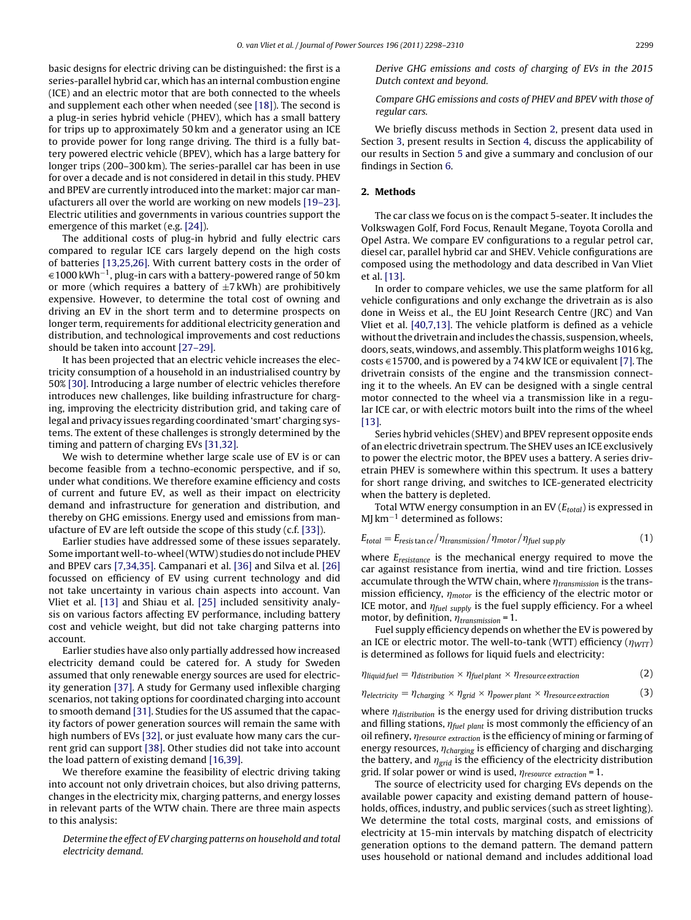basic designs for electric driving can be distinguished: the first is a series-parallel hybrid car, which has an internal combustion engine (ICE) and an electric motor that are both connected to the wheels and supplement each other when needed (see [\[18\]\).](#page-11-0) The second is a plug-in series hybrid vehicle (PHEV), which has a small battery for trips up to approximately 50 km and a generator using an ICE to provide power for long range driving. The third is a fully battery powered electric vehicle (BPEV), which has a large battery for longer trips (200–300 km). The series-parallel car has been in use for over a decade and is not considered in detail in this study. PHEV and BPEV are currently introduced into the market: major car manufacturers all over the world are working on new models [\[19–23\].](#page-11-0) Electric utilities and governments in various countries support the emergence of this market (e.g. [\[24\]\).](#page-11-0)

The additional costs of plug-in hybrid and fully electric cars compared to regular ICE cars largely depend on the high costs of batteries [\[13,25,26\]. W](#page-10-0)ith current battery costs in the order of  $\epsilon$  1000 kWh<sup>-1</sup>, plug-in cars with a battery-powered range of 50 km or more (which requires a battery of  $\pm$ 7 kWh) are prohibitively expensive. However, to determine the total cost of owning and driving an EV in the short term and to determine prospects on longer term, requirements for additional electricity generation and distribution, and technological improvements and cost reductions should be taken into account [\[27–29\].](#page-11-0)

It has been projected that an electric vehicle increases the electricity consumption of a household in an industrialised country by 50% [\[30\]. I](#page-11-0)ntroducing a large number of electric vehicles therefore introduces new challenges, like building infrastructure for charging, improving the electricity distribution grid, and taking care of legal and privacy issues regarding coordinated 'smart' charging systems. The extent of these challenges is strongly determined by the timing and pattern of charging EVs [\[31,32\].](#page-11-0)

We wish to determine whether large scale use of EV is or can become feasible from a techno-economic perspective, and if so, under what conditions. We therefore examine efficiency and costs of current and future EV, as well as their impact on electricity demand and infrastructure for generation and distribution, and thereby on GHG emissions. Energy used and emissions from manufacture of EV are left outside the scope of this study (c.f. [\[33\]\).](#page-11-0)

Earlier studies have addressed some of these issues separately. Some important well-to-wheel (WTW) studies do not include PHEV and BPEV cars [\[7,34,35\]. C](#page-10-0)ampanari et al. [\[36\]](#page-11-0) and Silva et al. [\[26\]](#page-11-0) focussed on efficiency of EV using current technology and did not take uncertainty in various chain aspects into account. Van Vliet et al. [\[13\]](#page-10-0) and Shiau et al. [\[25\]](#page-11-0) included sensitivity analysis on various factors affecting EV performance, including battery cost and vehicle weight, but did not take charging patterns into account.

Earlier studies have also only partially addressed how increased electricity demand could be catered for. A study for Sweden assumed that only renewable energy sources are used for electricity generation [\[37\]. A](#page-11-0) study for Germany used inflexible charging scenarios, not taking options for coordinated charging into account to smooth demand [\[31\]. S](#page-11-0)tudies for the US assumed that the capacity factors of power generation sources will remain the same with high numbers of EVs [\[32\], o](#page-11-0)r just evaluate how many cars the current grid can support [\[38\]. O](#page-11-0)ther studies did not take into account the load pattern of existing demand [\[16,39\].](#page-11-0)

We therefore examine the feasibility of electric driving taking into account not only drivetrain choices, but also driving patterns, changes in the electricity mix, charging patterns, and energy losses in relevant parts of the WTW chain. There are three main aspects to this analysis:

Determine the effect of EV charging patterns on household and total electricity demand.

Derive GHG emissions and costs of charging of EVs in the 2015 Dutch context and beyond.

## Compare GHG emissions and costs of PHEV and BPEV with those of regular cars.

We briefly discuss methods in Section 2, present data used in Section [3, p](#page-2-0)resent results in Section [4, d](#page-5-0)iscuss the applicability of our results in Section [5](#page-8-0) and give a summary and conclusion of our findings in Section [6.](#page-10-0)

#### **2. Methods**

The car class we focus on is the compact 5-seater. It includes the Volkswagen Golf, Ford Focus, Renault Megane, Toyota Corolla and Opel Astra. We compare EV configurations to a regular petrol car, diesel car, parallel hybrid car and SHEV. Vehicle configurations are composed using the methodology and data described in Van Vliet et al. [\[13\].](#page-10-0)

In order to compare vehicles, we use the same platform for all vehicle configurations and only exchange the drivetrain as is also done in Weiss et al., the EU Joint Research Centre (JRC) and Van Vliet et al. [\[40,7,13\].](#page-11-0) The vehicle platform is defined as a vehicle without the drivetrain and includes the chassis, suspension, wheels, doors, seats, windows, and assembly. This platform weighs 1016 kg, costs  $\in$  15700, and is powered by a 74 kW ICE or equivalent [\[7\]. T](#page-10-0)he drivetrain consists of the engine and the transmission connecting it to the wheels. An EV can be designed with a single central motor connected to the wheel via a transmission like in a regular ICE car, or with electric motors built into the rims of the wheel [\[13\].](#page-10-0)

Series hybrid vehicles (SHEV) and BPEV represent opposite ends of an electric drivetrain spectrum. The SHEV uses an ICE exclusively to power the electric motor, the BPEV uses a battery. A series drivetrain PHEV is somewhere within this spectrum. It uses a battery for short range driving, and switches to ICE-generated electricity when the battery is depleted.

Total WTW energy consumption in an EV ( $E_{total}$ ) is expressed in  $M$ I km<sup>-1</sup> determined as follows:

$$
E_{total} = E_{resis \tan ce} / \eta_{transmission} / \eta_{\text{motor}} / \eta_{\text{fuel \, supply}} \tag{1}
$$

where  $E_{resistance}$  is the mechanical energy required to move the car against resistance from inertia, wind and tire friction. Losses accumulate through the WTW chain, where  $\eta_{transmission}$  is the transmission efficiency,  $\eta_{motor}$  is the efficiency of the electric motor or ICE motor, and  $\eta_{\text{fuel supply}}$  is the fuel supply efficiency. For a wheel motor, by definition,  $\eta_{transmission} = 1$ .

Fuel supply efficiency depends on whether the EV is powered by an ICE or electric motor. The well-to-tank (WTT) efficiency ( $\eta_{\text{WTT}}$ ) is determined as follows for liquid fuels and electricity:

$$
\eta_{\text{liquid fuel}} = \eta_{\text{distribution}} \times \eta_{\text{fuel plant}} \times \eta_{\text{resource extraction}}
$$
 (2)

$$
\eta_{\text{electricity}} = \eta_{\text{charging}} \times \eta_{\text{grid}} \times \eta_{\text{power plant}} \times \eta_{\text{resource extraction}} \tag{3}
$$

where  $\eta_{distribution}$  is the energy used for driving distribution trucks and filling stations,  $\eta_{\text{fuel plant}}$  is most commonly the efficiency of an oil refinery,  $\eta$ <sub>resource extraction</sub> is the efficiency of mining or farming of energy resources,  $\eta_{charging}$  is efficiency of charging and discharging the battery, and  $\eta_{grid}$  is the efficiency of the electricity distribution grid. If solar power or wind is used,  $\eta_{resource \; extraction} = 1$ .

The source of electricity used for charging EVs depends on the available power capacity and existing demand pattern of households, offices, industry, and public services (such as street lighting). We determine the total costs, marginal costs, and emissions of electricity at 15-min intervals by matching dispatch of electricity generation options to the demand pattern. The demand pattern uses household or national demand and includes additional load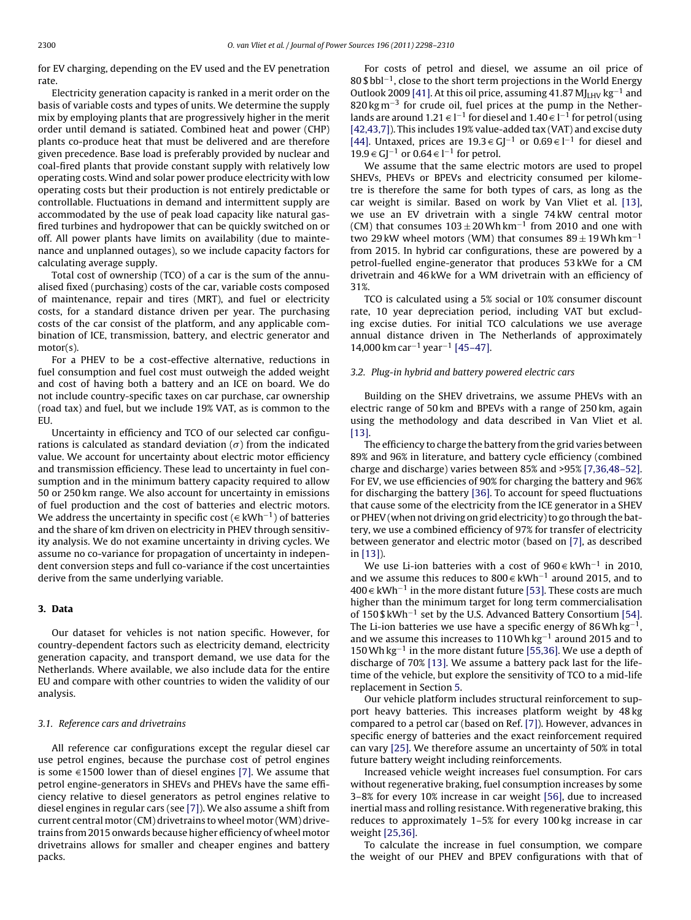<span id="page-2-0"></span>for EV charging, depending on the EV used and the EV penetration rate.

Electricity generation capacity is ranked in a merit order on the basis of variable costs and types of units. We determine the supply mix by employing plants that are progressively higher in the merit order until demand is satiated. Combined heat and power (CHP) plants co-produce heat that must be delivered and are therefore given precedence. Base load is preferably provided by nuclear and coal-fired plants that provide constant supply with relatively low operating costs. Wind and solar power produce electricity with low operating costs but their production is not entirely predictable or controllable. Fluctuations in demand and intermittent supply are accommodated by the use of peak load capacity like natural gasfired turbines and hydropower that can be quickly switched on or off. All power plants have limits on availability (due to maintenance and unplanned outages), so we include capacity factors for calculating average supply.

Total cost of ownership (TCO) of a car is the sum of the annualised fixed (purchasing) costs of the car, variable costs composed of maintenance, repair and tires (MRT), and fuel or electricity costs, for a standard distance driven per year. The purchasing costs of the car consist of the platform, and any applicable combination of ICE, transmission, battery, and electric generator and motor(s).

For a PHEV to be a cost-effective alternative, reductions in fuel consumption and fuel cost must outweigh the added weight and cost of having both a battery and an ICE on board. We do not include country-specific taxes on car purchase, car ownership (road tax) and fuel, but we include 19% VAT, as is common to the EU.

Uncertainty in efficiency and TCO of our selected car configurations is calculated as standard deviation ( $\sigma$ ) from the indicated value. We account for uncertainty about electric motor efficiency and transmission efficiency. These lead to uncertainty in fuel consumption and in the minimum battery capacity required to allow 50 or 250 km range. We also account for uncertainty in emissions of fuel production and the cost of batteries and electric motors. We address the uncertainty in specific cost ( $∈$  kWh<sup>-1</sup>) of batteries and the share of km driven on electricity in PHEV through sensitivity analysis. We do not examine uncertainty in driving cycles. We assume no co-variance for propagation of uncertainty in independent conversion steps and full co-variance if the cost uncertainties derive from the same underlying variable.

## **3. Data**

Our dataset for vehicles is not nation specific. However, for country-dependent factors such as electricity demand, electricity generation capacity, and transport demand, we use data for the Netherlands. Where available, we also include data for the entire EU and compare with other countries to widen the validity of our analysis.

### 3.1. Reference cars and drivetrains

All reference car configurations except the regular diesel car use petrol engines, because the purchase cost of petrol engines is some  $\in$ 1500 lower than of diesel engines [\[7\].](#page-10-0) We assume that petrol engine-generators in SHEVs and PHEVs have the same efficiency relative to diesel generators as petrol engines relative to diesel engines in regular cars (see [\[7\]\).](#page-10-0) We also assume a shift from current central motor (CM) drivetrains to wheel motor (WM) drivetrains from 2015 onwards because higher efficiency of wheel motor drivetrains allows for smaller and cheaper engines and battery packs.

For costs of petrol and diesel, we assume an oil price of 80 \$ bbl<sup>-1</sup>, close to the short term projections in the World Energy Outlook 2009 [\[41\]. A](#page-11-0)t this oil price, assuming 41.87 MJ<sub>LHV</sub> kg<sup>-1</sup> and 820 kg m<sup>-3</sup> for crude oil, fuel prices at the pump in the Netherlands are around 1.21  $\in$  l $^{-1}$  for diesel and 1.40  $\in$  l $^{-1}$  for petrol (using [\[42,43,7\]\).](#page-11-0) This includes 19% value-added tax (VAT) and excise duty [\[44\].](#page-11-0) Untaxed, prices are 19.3  $\in G$ ]<sup>-1</sup> or 0.69  $\in$  l<sup>-1</sup> for diesel and 19.9  $\in GJ^{-1}$  or 0.64  $\in$  l<sup>-1</sup> for petrol.

We assume that the same electric motors are used to propel SHEVs, PHEVs or BPEVs and electricity consumed per kilometre is therefore the same for both types of cars, as long as the car weight is similar. Based on work by Van Vliet et al. [\[13\],](#page-10-0) we use an EV drivetrain with a single 74 kW central motor (CM) that consumes  $103 \pm 20$  Wh km<sup>-1</sup> from 2010 and one with two 29 kW wheel motors (WM) that consumes  $89 \pm 19$  Wh km<sup>-1</sup> from 2015. In hybrid car configurations, these are powered by a petrol-fuelled engine-generator that produces 53 kWe for a CM drivetrain and 46 kWe for a WM drivetrain with an efficiency of 31%.

TCO is calculated using a 5% social or 10% consumer discount rate, 10 year depreciation period, including VAT but excluding excise duties. For initial TCO calculations we use average annual distance driven in The Netherlands of approximately 14,000 km car<sup>-1</sup> year<sup>-1</sup> [\[45–47\].](#page-11-0)

#### 3.2. Plug-in hybrid and battery powered electric cars

Building on the SHEV drivetrains, we assume PHEVs with an electric range of 50 km and BPEVs with a range of 250 km, again using the methodology and data described in Van Vliet et al. [\[13\].](#page-10-0)

The efficiency to charge the battery from the grid varies between 89% and 96% in literature, and battery cycle efficiency (combined charge and discharge) varies between 85% and >95% [\[7,36,48–52\].](#page-10-0) For EV, we use efficiencies of 90% for charging the battery and 96% for discharging the battery [\[36\]. T](#page-11-0)o account for speed fluctuations that cause some of the electricity from the ICE generator in a SHEV or PHEV (when not driving on grid electricity) to go through the battery, we use a combined efficiency of 97% for transfer of electricity between generator and electric motor (based on [\[7\], a](#page-10-0)s described in [\[13\]\).](#page-10-0)

We use Li-ion batteries with a cost of 960  $\in$  kWh<sup>-1</sup> in 2010, and we assume this reduces to 800  $\in$  kWh<sup>-1</sup> around 2015, and to 400 € kWh<sup>-1</sup> in the more distant future [\[53\]. T](#page-11-0)hese costs are much higher than the minimum target for long term commercialisation of 150 \$ kWh−<sup>1</sup> set by the U.S. Advanced Battery Consortium [\[54\].](#page-11-0) The Li-ion batteries we use have a specific energy of 86Wh kg<sup>-1</sup>, and we assume this increases to 110Wh kg−<sup>1</sup> around 2015 and to 150Wh kg−<sup>1</sup> in the more distant future [\[55,36\]. W](#page-11-0)e use a depth of discharge of 70% [\[13\].](#page-10-0) We assume a battery pack last for the lifetime of the vehicle, but explore the sensitivity of TCO to a mid-life replacement in Section [5.](#page-8-0)

Our vehicle platform includes structural reinforcement to support heavy batteries. This increases platform weight by 48 kg compared to a petrol car (based on Ref. [\[7\]\).](#page-10-0) However, advances in specific energy of batteries and the exact reinforcement required can vary [\[25\]. W](#page-11-0)e therefore assume an uncertainty of 50% in total future battery weight including reinforcements.

Increased vehicle weight increases fuel consumption. For cars without regenerative braking, fuel consumption increases by some 3–8% for every 10% increase in car weight [\[56\], d](#page-11-0)ue to increased inertial mass and rolling resistance. With regenerative braking, this reduces to approximately 1–5% for every 100 kg increase in car weight [\[25,36\].](#page-11-0)

To calculate the increase in fuel consumption, we compare the weight of our PHEV and BPEV configurations with that of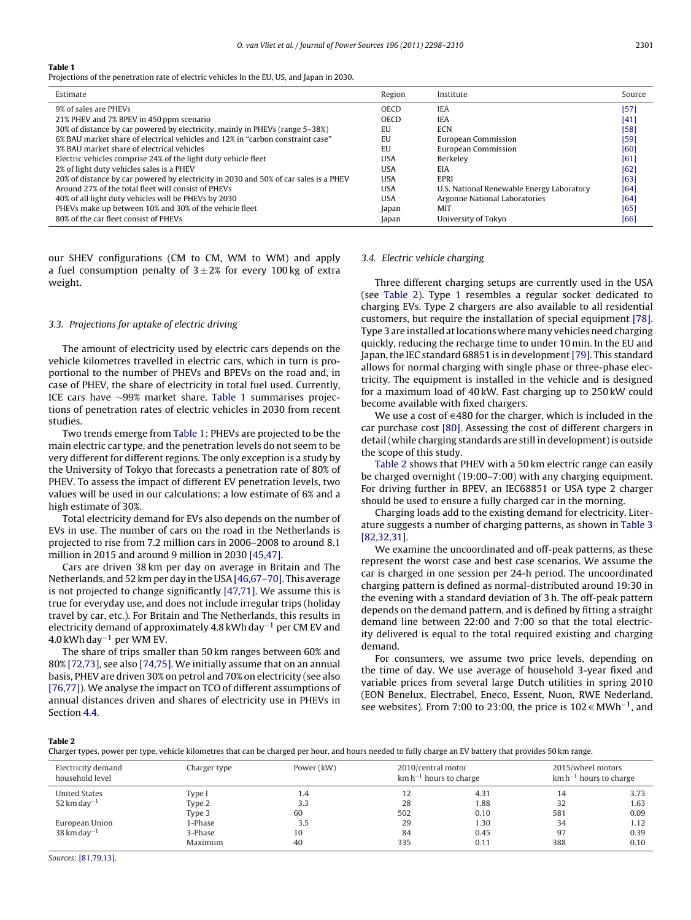Projections of the penetration rate of electric vehicles In the EU, US, and Japan in 2030.

| Estimate                                                                             | Region      | Institute                                 | Source |
|--------------------------------------------------------------------------------------|-------------|-------------------------------------------|--------|
| 9% of sales are PHEVs                                                                | <b>OECD</b> | <b>IEA</b>                                | [57]   |
| 21% PHEV and 7% BPEV in 450 ppm scenario                                             | <b>OECD</b> | <b>IEA</b>                                | $[41]$ |
| 30% of distance by car powered by electricity, mainly in PHEVs (range 5–38%)         | EU          | <b>ECN</b>                                | $[58]$ |
| 6% BAU market share of electrical vehicles and 12% in "carbon constraint case"       | EU          | European Commission                       | $[59]$ |
| 3% BAU market share of electrical vehicles                                           | EU          | European Commission                       | [60]   |
| Electric vehicles comprise 24% of the light duty vehicle fleet                       | <b>USA</b>  | Berkeley                                  | [61]   |
| 2% of light duty vehicles sales is a PHEV                                            | <b>USA</b>  | EIA                                       | [62]   |
| 20% of distance by car powered by electricity in 2030 and 50% of car sales is a PHEV | <b>USA</b>  | <b>EPRI</b>                               | [63]   |
| Around 27% of the total fleet will consist of PHEVs                                  | <b>USA</b>  | U.S. National Renewable Energy Laboratory | [64]   |
| 40% of all light duty vehicles will be PHEVs by 2030                                 | <b>USA</b>  | Argonne National Laboratories             | [64]   |
| PHEVs make up between 10% and 30% of the vehicle fleet                               | Japan       | MIT                                       | [65]   |
| 80% of the car fleet consist of PHEVs                                                | Japan       | University of Tokyo                       | [66]   |

our SHEV configurations (CM to CM, WM to WM) and apply a fuel consumption penalty of  $3\pm2\%$  for every 100 kg of extra weight.

## 3.3. Projections for uptake of electric driving

The amount of electricity used by electric cars depends on the vehicle kilometres travelled in electric cars, which in turn is proportional to the number of PHEVs and BPEVs on the road and, in case of PHEV, the share of electricity in total fuel used. Currently, ICE cars have ∼99% market share. Table 1 summarises projections of penetration rates of electric vehicles in 2030 from recent studies.

Two trends emerge from Table 1: PHEVs are projected to be the main electric car type, and the penetration levels do not seem to be very different for different regions. The only exception is a study by the University of Tokyo that forecasts a penetration rate of 80% of PHEV. To assess the impact of different EV penetration levels, two values will be used in our calculations: a low estimate of 6% and a high estimate of 30%.

Total electricity demand for EVs also depends on the number of EVs in use. The number of cars on the road in the Netherlands is projected to rise from 7.2 million cars in 2006–2008 to around 8.1 million in 2015 and around 9 million in 2030 [\[45,47\].](#page-11-0)

Cars are driven 38 km per day on average in Britain and The Netherlands, and 52 km per day in the USA [\[46,67–70\]. T](#page-11-0)his average is not projected to change significantly [\[47,71\]. W](#page-11-0)e assume this is true for everyday use, and does not include irregular trips (holiday travel by car, etc.). For Britain and The Netherlands, this results in electricity demand of approximately 4.8 kWh day−<sup>1</sup> per CM EV and  $4.0$  kWh day<sup>-1</sup> per WM EV.

The share of trips smaller than 50 km ranges between 60% and 80% [\[72,73\], s](#page-11-0)ee also [\[74,75\]. W](#page-11-0)e initially assume that on an annual basis, PHEV are driven 30% on petrol and 70% on electricity (see also [\[76,77\]\).](#page-11-0) We analyse the impact on TCO of different assumptions of annual distances driven and shares of electricity use in PHEVs in Section [4.4.](#page-7-0)

#### 3.4. Electric vehicle charging

Three different charging setups are currently used in the USA (see Table 2). Type 1 resembles a regular socket dedicated to charging EVs. Type 2 chargers are also available to all residential customers, but require the installation of special equipment [\[78\].](#page-12-0) Type 3 are installed at locations where many vehicles need charging quickly, reducing the recharge time to under 10 min. In the EU and Japan, the IEC standard 68851 is in development[\[79\]. T](#page-12-0)his standard allows for normal charging with single phase or three-phase electricity. The equipment is installed in the vehicle and is designed for a maximum load of 40 kW. Fast charging up to 250 kW could become available with fixed chargers.

We use a cost of  $\in$  480 for the charger, which is included in the car purchase cost [\[80\]. A](#page-12-0)ssessing the cost of different chargers in detail (while charging standards are still in development) is outside the scope of this study.

Table 2 shows that PHEV with a 50 km electric range can easily be charged overnight (19:00–7:00) with any charging equipment. For driving further in BPEV, an IEC68851 or USA type 2 charger should be used to ensure a fully charged car in the morning.

Charging loads add to the existing demand for electricity. Literature suggests a number of charging patterns, as shown in [Table 3](#page-4-0) [\[82,32,31\].](#page-12-0)

We examine the uncoordinated and off-peak patterns, as these represent the worst case and best case scenarios. We assume the car is charged in one session per 24-h period. The uncoordinated charging pattern is defined as normal-distributed around 19:30 in the evening with a standard deviation of 3 h. The off-peak pattern depends on the demand pattern, and is defined by fitting a straight demand line between 22:00 and 7:00 so that the total electricity delivered is equal to the total required existing and charging demand.

For consumers, we assume two price levels, depending on the time of day. We use average of household 3-year fixed and variable prices from several large Dutch utilities in spring 2010 (EON Benelux, Electrabel, Eneco, Essent, Nuon, RWE Nederland, see websites). From 7:00 to 23:00, the price is  $102 \text{ } \in \text{MWh}^{-1}$ , and

## **Table 2**

Charger types, power per type, vehicle kilometres that can be charged per hour, and hours needed to fully charge an EV battery that provides 50 km range.

| Electricity demand<br>household level | Charger type | Power (kW) | 2010/central motor<br>$km h^{-1}$ hours to charge |      | 2015/wheel motors<br>$km h^{-1}$ hours to charge |      |
|---------------------------------------|--------------|------------|---------------------------------------------------|------|--------------------------------------------------|------|
| <b>United States</b>                  | Type l       | 1.4        | 12                                                | 4.31 | 14                                               | 3.73 |
| $52 \mathrm{km}$ day <sup>-1</sup>    | Type 2       | 3.3        | 28                                                | 1.88 | 32                                               | 1.63 |
|                                       | Type 3       | 60         | 502                                               | 0.10 | 581                                              | 0.09 |
| European Union                        | 1-Phase      | 3.5        | 29                                                | 1.30 | 34                                               | 1.12 |
| $38 \mathrm{km}$ day <sup>-1</sup>    | 3-Phase      | 10         | 84                                                | 0.45 | 97                                               | 0.39 |
|                                       | Maximum      | 40         | 335                                               | 0.11 | 388                                              | 0.10 |

Sources: [\[81,79,13\].](#page-12-0)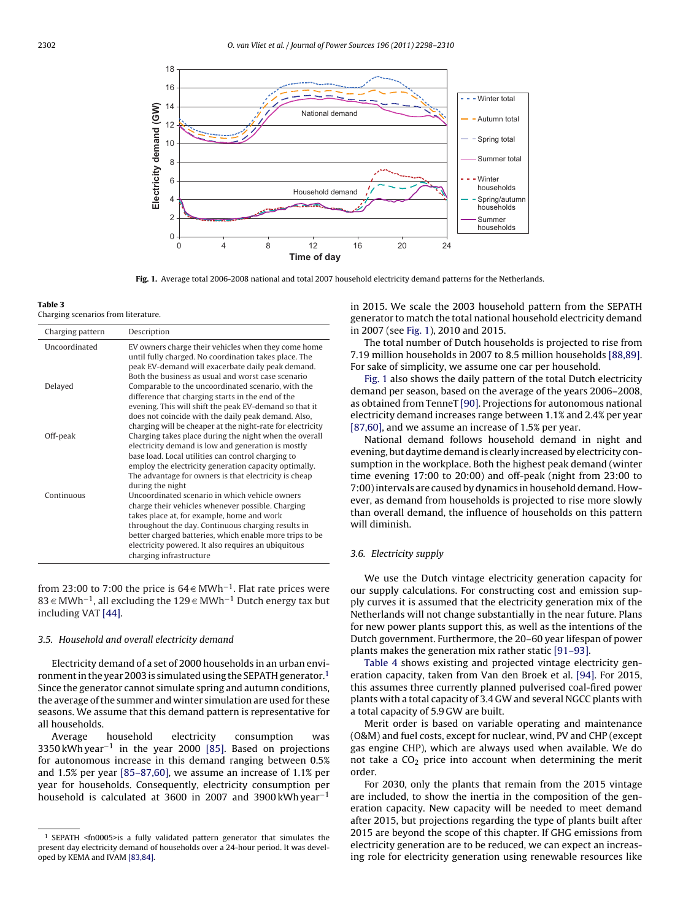<span id="page-4-0"></span>

**Fig. 1.** Average total 2006-2008 national and total 2007 household electricity demand patterns for the Netherlands.

Charging scenarios from literature.

| Charging pattern     | Description                                                                                                                                                                                                                                                                                                                                          |
|----------------------|------------------------------------------------------------------------------------------------------------------------------------------------------------------------------------------------------------------------------------------------------------------------------------------------------------------------------------------------------|
| <b>Uncoordinated</b> | EV owners charge their vehicles when they come home<br>until fully charged. No coordination takes place. The<br>peak EV-demand will exacerbate daily peak demand.<br>Both the business as usual and worst case scenario                                                                                                                              |
| Delayed              | Comparable to the uncoordinated scenario, with the<br>difference that charging starts in the end of the<br>evening. This will shift the peak EV-demand so that it<br>does not coincide with the daily peak demand. Also,<br>charging will be cheaper at the night-rate for electricity                                                               |
| Off-peak             | Charging takes place during the night when the overall<br>electricity demand is low and generation is mostly<br>base load, Local utilities can control charging to<br>employ the electricity generation capacity optimally.<br>The advantage for owners is that electricity is cheap<br>during the night                                             |
| Continuous           | Uncoordinated scenario in which vehicle owners<br>charge their vehicles whenever possible. Charging<br>takes place at, for example, home and work<br>throughout the day. Continuous charging results in<br>better charged batteries, which enable more trips to be<br>electricity powered. It also requires an ubiquitous<br>charging infrastructure |

from 23:00 to 7:00 the price is  $64 \in \text{MWh}^{-1}$ . Flat rate prices were 83 € MWh<sup>-1</sup>, all excluding the 129 € MWh<sup>-1</sup> Dutch energy tax but including VAT [\[44\].](#page-11-0)

## 3.5. Household and overall electricity demand

Electricity demand of a set of 2000 households in an urban environment in the year 2003 is simulated using the SEPATH generator.1 Since the generator cannot simulate spring and autumn conditions, the average of the summer and winter simulation are used for these seasons. We assume that this demand pattern is representative for all households.

Average household electricity consumption was 3350 kWh year−<sup>1</sup> in the year 2000 [\[85\].](#page-12-0) Based on projections for autonomous increase in this demand ranging between 0.5% and 1.5% per year [\[85–87,60\], w](#page-12-0)e assume an increase of 1.1% per year for households. Consequently, electricity consumption per household is calculated at 3600 in 2007 and 3900 kWh year−<sup>1</sup>

in 2015. We scale the 2003 household pattern from the SEPATH generator to match the total national household electricity demand in 2007 (see Fig. 1), 2010 and 2015.

The total number of Dutch households is projected to rise from 7.19 million households in 2007 to 8.5 million households [\[88,89\].](#page-12-0) For sake of simplicity, we assume one car per household.

Fig. 1 also shows the daily pattern of the total Dutch electricity demand per season, based on the average of the years 2006–2008, as obtained from TenneT [\[90\]. P](#page-12-0)rojections for autonomous national electricity demand increases range between 1.1% and 2.4% per year [\[87,60\], a](#page-12-0)nd we assume an increase of 1.5% per year.

National demand follows household demand in night and evening, but daytime demand is clearly increased by electricity consumption in the workplace. Both the highest peak demand (winter time evening 17:00 to 20:00) and off-peak (night from 23:00 to 7:00) intervals are caused by dynamics in household demand. However, as demand from households is projected to rise more slowly than overall demand, the influence of households on this pattern will diminish.

## 3.6. Electricity supply

We use the Dutch vintage electricity generation capacity for our supply calculations. For constructing cost and emission supply curves it is assumed that the electricity generation mix of the Netherlands will not change substantially in the near future. Plans for new power plants support this, as well as the intentions of the Dutch government. Furthermore, the 20–60 year lifespan of power plants makes the generation mix rather static [\[91–93\].](#page-12-0)

[Table 4](#page-5-0) shows existing and projected vintage electricity generation capacity, taken from Van den Broek et al. [\[94\].](#page-12-0) For 2015, this assumes three currently planned pulverised coal-fired power plants with a total capacity of 3.4 GW and several NGCC plants with a total capacity of 5.9 GW are built.

Merit order is based on variable operating and maintenance (O&M) and fuel costs, except for nuclear, wind, PV and CHP (except gas engine CHP), which are always used when available. We do not take a  $CO<sub>2</sub>$  price into account when determining the merit order.

For 2030, only the plants that remain from the 2015 vintage are included, to show the inertia in the composition of the generation capacity. New capacity will be needed to meet demand after 2015, but projections regarding the type of plants built after 2015 are beyond the scope of this chapter. If GHG emissions from electricity generation are to be reduced, we can expect an increasing role for electricity generation using renewable resources like

<sup>1</sup> SEPATH <fn0005>is a fully validated pattern generator that simulates the present day electricity demand of households over a 24-hour period. It was developed by KEMA and IVAM [\[83,84\].](#page-12-0)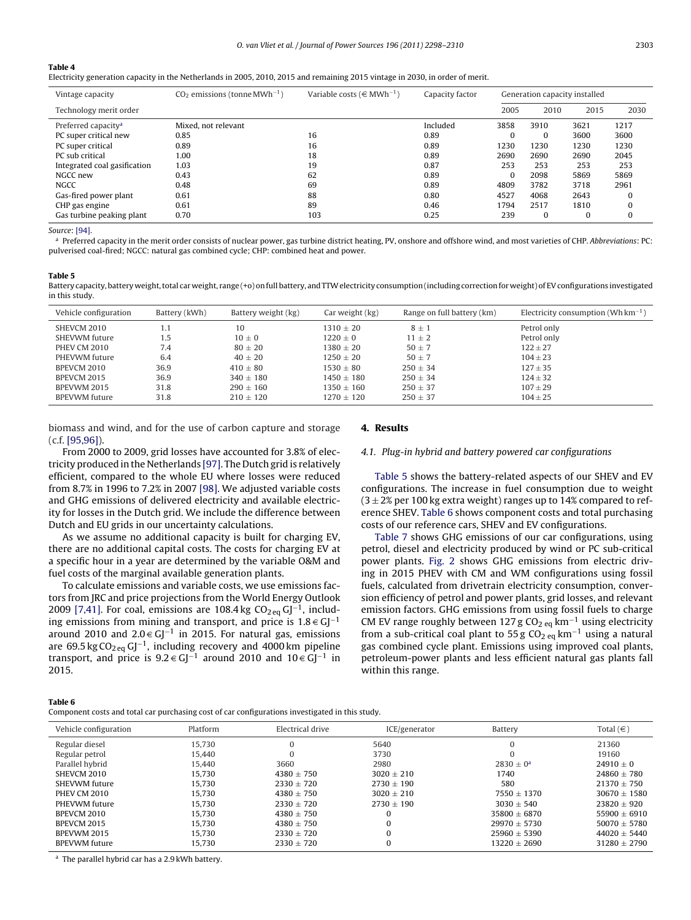<span id="page-5-0"></span>Electricity generation capacity in the Netherlands in 2005, 2010, 2015 and remaining 2015 vintage in 2030, in order of merit.

| Vintage capacity                | $CO2$ emissions (tonne MWh <sup>-1</sup> ) | Variable costs ( $\in$ MWh <sup>-1</sup> ) | Capacity factor | Generation capacity installed |          |          |          |
|---------------------------------|--------------------------------------------|--------------------------------------------|-----------------|-------------------------------|----------|----------|----------|
| Technology merit order          |                                            |                                            |                 | 2005                          | 2010     | 2015     | 2030     |
| Preferred capacity <sup>a</sup> | Mixed, not relevant                        |                                            | Included        | 3858                          | 3910     | 3621     | 1217     |
| PC super critical new           | 0.85                                       | 16                                         | 0.89            | $\Omega$                      |          | 3600     | 3600     |
| PC super critical               | 0.89                                       | 16                                         | 0.89            | 1230                          | 1230     | 1230     | 1230     |
| PC sub critical                 | 1.00                                       | 18                                         | 0.89            | 2690                          | 2690     | 2690     | 2045     |
| Integrated coal gasification    | 1.03                                       | 19                                         | 0.87            | 253                           | 253      | 253      | 253      |
| NGCC new                        | 0.43                                       | 62                                         | 0.89            | $\Omega$                      | 2098     | 5869     | 5869     |
| <b>NGCC</b>                     | 0.48                                       | 69                                         | 0.89            | 4809                          | 3782     | 3718     | 2961     |
| Gas-fired power plant           | 0.61                                       | 88                                         | 0.80            | 4527                          | 4068     | 2643     |          |
| CHP gas engine                  | 0.61                                       | 89                                         | 0.46            | 1794                          | 2517     | 1810     |          |
| Gas turbine peaking plant       | 0.70                                       | 103                                        | 0.25            | 239                           | $\Omega$ | $\Omega$ | $\Omega$ |

Source: [\[94\].](#page-12-0)

a Preferred capacity in the merit order consists of nuclear power, gas turbine district heating, PV, onshore and offshore wind, and most varieties of CHP. Abbreviations: PC: pulverised coal-fired; NGCC: natural gas combined cycle; CHP: combined heat and power.

#### **Table 5**

**Table 6**

Battery capacity, battery weight, total car weight, range (+o) on full battery, and TTW electricity consumption (including correction for weight) of EV configurations investigated in this study.

| Vehicle configuration | Battery (kWh) | Battery weight (kg) | Car weight (kg) | Range on full battery (km) | Electricity consumption (Wh $km^{-1}$ ) |
|-----------------------|---------------|---------------------|-----------------|----------------------------|-----------------------------------------|
| SHEVCM 2010           | 1.1           | 10                  | $1310 + 20$     | $8 \pm 1$                  | Petrol only                             |
| SHEVWM future         | 1.5           | $10 + 0$            | $1220 + 0$      | $11 + 2$                   | Petrol only                             |
| <b>PHEV CM 2010</b>   | 7.4           | $80 \pm 20$         | $1380 + 20$     | $50 + 7$                   | $122 \pm 27$                            |
| PHEVWM future         | 6.4           | $40 \pm 20$         | $1250 \pm 20$   | $50 + 7$                   | $104 \pm 23$                            |
| BPEVCM 2010           | 36.9          | $410 \pm 80$        | $1530 + 80$     | $250 \pm 34$               | $127 + 35$                              |
| BPEVCM 2015           | 36.9          | $340 + 180$         | $1450 + 180$    | $250 + 34$                 | $124 \pm 32$                            |
| BPEVWM 2015           | 31.8          | $290 \pm 160$       | $1350 \pm 160$  | $250 \pm 37$               | $107 + 29$                              |
| <b>BPEVWM</b> future  | 31.8          | $210 + 120$         | $1270 \pm 120$  | $250 \pm 37$               | $104 \pm 25$                            |

biomass and wind, and for the use of carbon capture and storage (c.f. [\[95,96\]\).](#page-12-0)

#### **4. Results**

#### 4.1. Plug-in hybrid and battery powered car configurations

From 2000 to 2009, grid losses have accounted for 3.8% of electricity produced in the Netherlands [\[97\]. T](#page-12-0)he Dutch grid is relatively efficient, compared to the whole EU where losses were reduced from 8.7% in 1996 to 7.2% in 2007 [\[98\]. W](#page-12-0)e adjusted variable costs and GHG emissions of delivered electricity and available electricity for losses in the Dutch grid. We include the difference between Dutch and EU grids in our uncertainty calculations.

As we assume no additional capacity is built for charging EV, there are no additional capital costs. The costs for charging EV at a specific hour in a year are determined by the variable O&M and fuel costs of the marginal available generation plants.

To calculate emissions and variable costs, we use emissions factors from JRC and price projections from the World Energy Outlook 2009 [\[7,41\]. F](#page-10-0)or coal, emissions are 108.4 kg  $CO<sub>2 eq</sub> GJ<sup>-1</sup>$ , including emissions from mining and transport, and price is  $1.8 \in G$ [-1] around 2010 and 2.0  $\in G_J^{-1}$  in 2015. For natural gas, emissions are 69.5 kg CO<sub>2 eq</sub> GJ<sup>-1</sup>, including recovery and 4000 km pipeline transport, and price is  $9.2 \in GJ^{-1}$  around 2010 and  $10 \in GJ^{-1}$  in 2015.

Component costs and total car purchasing cost of car configurations investigated in this study.

## Table 5 shows the battery-related aspects of our SHEV and EV configurations. The increase in fuel consumption due to weight  $(3 \pm 2\%)$  per 100 kg extra weight) ranges up to 14% compared to reference SHEV. Table 6 shows component costs and total purchasing costs of our reference cars, SHEV and EV configurations.

[Table 7](#page-6-0) shows GHG emissions of our car configurations, using petrol, diesel and electricity produced by wind or PC sub-critical power plants. [Fig. 2](#page-6-0) shows GHG emissions from electric driving in 2015 PHEV with CM and WM configurations using fossil fuels, calculated from drivetrain electricity consumption, conversion efficiency of petrol and power plants, grid losses, and relevant emission factors. GHG emissions from using fossil fuels to charge CM EV range roughly between 127 g CO<sub>2 eq</sub> km<sup>-1</sup> using electricity from a sub-critical coal plant to 55 g  $CO<sub>2</sub>$  eq km<sup>-1</sup> using a natural gas combined cycle plant. Emissions using improved coal plants, petroleum-power plants and less efficient natural gas plants fall within this range.

| Platform | Electrical drive | ICE/generator  | Battery          | Total $(\in)$    |
|----------|------------------|----------------|------------------|------------------|
| 15.730   |                  | 5640           | 0                | 21360            |
| 15.440   |                  | 3730           |                  | 19160            |
| 15.440   | 3660             | 2980           | $2830 + 0^2$     | $24910 + 0$      |
| 15.730   | $4380 + 750$     | $3020 + 210$   | 1740             | $24860 + 780$    |
| 15.730   | $2330 \pm 720$   | $2730 \pm 190$ | 580              | $21370 + 750$    |
| 15.730   | $4380 \pm 750$   | $3020 + 210$   | $7550 + 1370$    | $30670 + 1580$   |
| 15.730   | $2330 + 720$     | $2730 + 190$   | $3030 + 540$     | $23820 + 920$    |
| 15.730   | $4380 + 750$     |                | $35800 + 6870$   | $55900 + 6910$   |
| 15.730   | $4380 + 750$     |                | $29970 + 5730$   | $50070 \pm 5780$ |
| 15.730   | $2330 + 720$     |                | $25960 + 5390$   | $44020 \pm 5440$ |
| 15.730   | $2330 \pm 720$   |                | $13220 \pm 2690$ | $31280 + 2790$   |
|          |                  |                |                  |                  |

<sup>a</sup> The parallel hybrid car has a 2.9 kWh battery.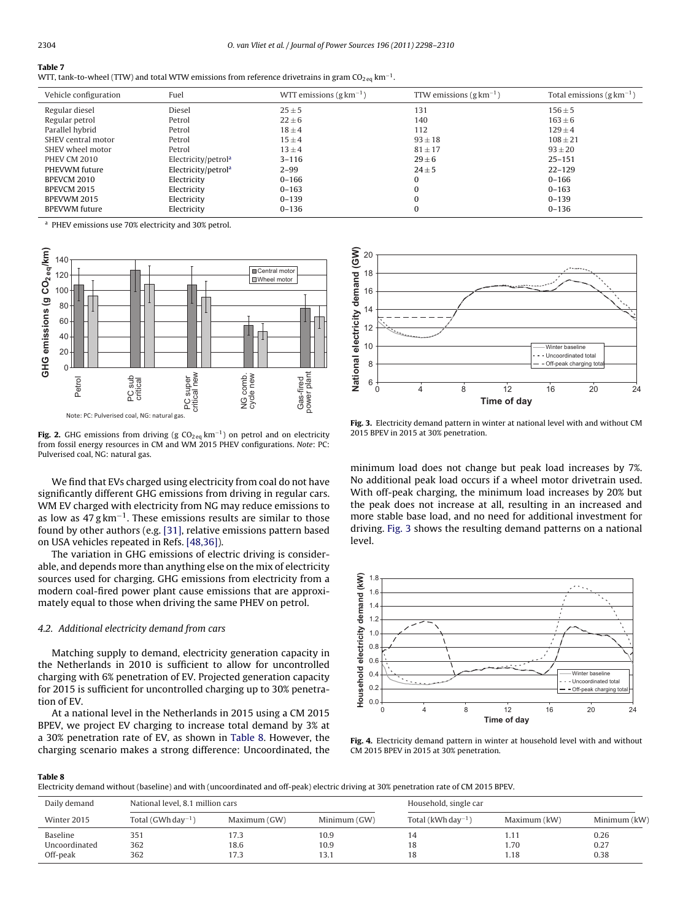<span id="page-6-0"></span>

| WTT, tank-to-wheel (TTW) and total WTW emissions from reference drivetrains in gram CO <sub>2 eq</sub> km <sup>-1</sup> . |  |  |  |  |  |
|---------------------------------------------------------------------------------------------------------------------------|--|--|--|--|--|
|---------------------------------------------------------------------------------------------------------------------------|--|--|--|--|--|

| Vehicle configuration | Fuel                            | WTT emissions (g $km^{-1}$ ) | TTW emissions (g $km^{-1}$ ) | Total emissions (g $km^{-1}$ ) |
|-----------------------|---------------------------------|------------------------------|------------------------------|--------------------------------|
| Regular diesel        | Diesel                          | $25 \pm 5$                   | 131                          | $156 + 5$                      |
| Regular petrol        | Petrol                          | $22 \pm 6$                   | 140                          | $163 + 6$                      |
| Parallel hybrid       | Petrol                          | $18 \pm 4$                   | 112                          | $129 + 4$                      |
| SHEV central motor    | Petrol                          | $15 \pm 4$                   | $93 \pm 18$                  | $108 \pm 21$                   |
| SHEV wheel motor      | Petrol                          | $13 + 4$                     | $81 + 17$                    | $93 + 20$                      |
| <b>PHEV CM 2010</b>   | Electricity/petrol <sup>a</sup> | $3 - 116$                    | $29 \pm 6$                   | $25 - 151$                     |
| PHEVWM future         | Electricity/petrol <sup>a</sup> | $2 - 99$                     | $24 \pm 5$                   | $22 - 129$                     |
| BPEVCM 2010           | Electricity                     | $0 - 166$                    | $\Omega$                     | $0 - 166$                      |
| BPEVCM 2015           | Electricity                     | $0 - 163$                    | $\Omega$                     | $0 - 163$                      |
| BPEVWM 2015           | Electricity                     | $0 - 139$                    | $\Omega$                     | $0 - 139$                      |
| <b>BPEVWM</b> future  | Electricity                     | $0 - 136$                    | $\Omega$                     | $0 - 136$                      |

<sup>a</sup> PHEV emissions use 70% electricity and 30% petrol.



**Fig. 2.** GHG emissions from driving (g  $CO_{2 \text{ eq}}$  km<sup>-1</sup>) on petrol and on electricity from fossil energy resources in CM and WM 2015 PHEV configurations. Note: PC: Pulverised coal, NG: natural gas.

We find that EVs charged using electricity from coal do not have significantly different GHG emissions from driving in regular cars. WM EV charged with electricity from NG may reduce emissions to as low as  $47 \text{ g} \text{ km}^{-1}$ . These emissions results are similar to those found by other authors (e.g. [\[31\], r](#page-11-0)elative emissions pattern based on USA vehicles repeated in Refs. [\[48,36\]\).](#page-11-0)

The variation in GHG emissions of electric driving is considerable, and depends more than anything else on the mix of electricity sources used for charging. GHG emissions from electricity from a modern coal-fired power plant cause emissions that are approximately equal to those when driving the same PHEV on petrol.

#### 4.2. Additional electricity demand from cars

Matching supply to demand, electricity generation capacity in the Netherlands in 2010 is sufficient to allow for uncontrolled charging with 6% penetration of EV. Projected generation capacity for 2015 is sufficient for uncontrolled charging up to 30% penetration of EV.

At a national level in the Netherlands in 2015 using a CM 2015 BPEV, we project EV charging to increase total demand by 3% at a 30% penetration rate of EV, as shown in Table 8. However, the charging scenario makes a strong difference: Uncoordinated, the



**Fig. 3.** Electricity demand pattern in winter at national level with and without CM 2015 BPEV in 2015 at 30% penetration.

minimum load does not change but peak load increases by 7%. No additional peak load occurs if a wheel motor drivetrain used. With off-peak charging, the minimum load increases by 20% but the peak does not increase at all, resulting in an increased and more stable base load, and no need for additional investment for driving. Fig. 3 shows the resulting demand patterns on a national level.



**Fig. 4.** Electricity demand pattern in winter at household level with and without CM 2015 BPEV in 2015 at 30% penetration.

#### **Table 8**

Electricity demand without (baseline) and with (uncoordinated and off-peak) electric driving at 30% penetration rate of CM 2015 BPEV.

| Daily demand<br>National level, 8.1 million cars |                                |              | Household, single car |                                |              |              |
|--------------------------------------------------|--------------------------------|--------------|-----------------------|--------------------------------|--------------|--------------|
| Winter 2015                                      | Total (GWh day <sup>-1</sup> ) | Maximum (GW) | Minimum(GW)           | Total (kWh day <sup>-1</sup> ) | Maximum (kW) | Minimum (kW) |
| <b>Baseline</b>                                  | 351                            | 17.3         | 10.9                  | 14                             | 1.11         | 0.26         |
| Uncoordinated                                    | 362                            | 18.6         | 10.9                  | 18                             | 1.70         | 0.27         |
| Off-peak                                         | 362                            | 17.3         | 13.1                  | 18                             | 1.18         | 0.38         |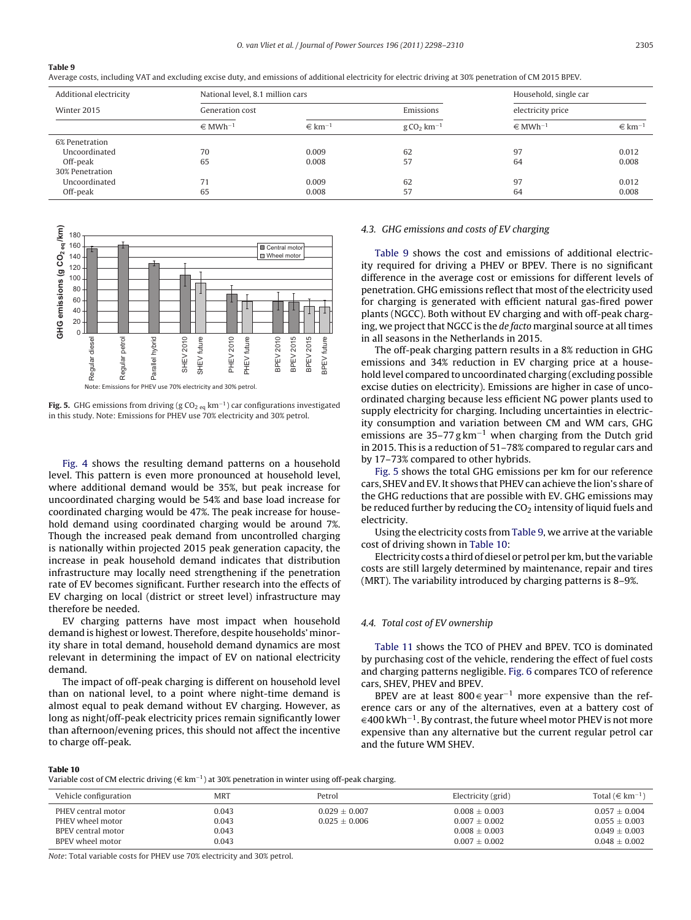<span id="page-7-0"></span>Average costs, including VAT and excluding excise duty, and emissions of additional electricity for electric driving at 30% penetration of CM 2015 BPEV.

| Additional electricity | National level, 8.1 million cars |                        |                                 | Household, single car   |                        |                   |  |
|------------------------|----------------------------------|------------------------|---------------------------------|-------------------------|------------------------|-------------------|--|
| Winter 2015            | Generation cost                  | Emissions              |                                 |                         |                        | electricity price |  |
|                        | $\in$ MWh <sup>-1</sup>          | $\in$ km <sup>-1</sup> | $g \text{CO}_2 \text{ km}^{-1}$ | $\in$ MWh <sup>-1</sup> | $\in$ km <sup>-1</sup> |                   |  |
| 6% Penetration         |                                  |                        |                                 |                         |                        |                   |  |
| Uncoordinated          | 70                               | 0.009                  | 62                              | 97                      | 0.012                  |                   |  |
| Off-peak               | 65                               | 0.008                  | 57                              | 64                      | 0.008                  |                   |  |
| 30% Penetration        |                                  |                        |                                 |                         |                        |                   |  |
| Uncoordinated          |                                  | 0.009                  | 62                              | 97                      | 0.012                  |                   |  |
| Off-peak               | 65                               | 0.008                  | 57                              | 64                      | 0.008                  |                   |  |



**Fig. 5.** GHG emissions from driving (g CO<sub>2 eq</sub> km<sup>-1</sup>) car configurations investigated in this study. Note: Emissions for PHEV use 70% electricity and 30% petrol.

[Fig. 4](#page-6-0) shows the resulting demand patterns on a household level. This pattern is even more pronounced at household level, where additional demand would be 35%, but peak increase for uncoordinated charging would be 54% and base load increase for coordinated charging would be 47%. The peak increase for household demand using coordinated charging would be around 7%. Though the increased peak demand from uncontrolled charging is nationally within projected 2015 peak generation capacity, the increase in peak household demand indicates that distribution infrastructure may locally need strengthening if the penetration rate of EV becomes significant. Further research into the effects of EV charging on local (district or street level) infrastructure may therefore be needed.

EV charging patterns have most impact when household demand is highest or lowest. Therefore, despite households' minority share in total demand, household demand dynamics are most relevant in determining the impact of EV on national electricity demand.

The impact of off-peak charging is different on household level than on national level, to a point where night-time demand is almost equal to peak demand without EV charging. However, as long as night/off-peak electricity prices remain significantly lower than afternoon/evening prices, this should not affect the incentive to charge off-peak.

#### 4.3. GHG emissions and costs of EV charging

Table 9 shows the cost and emissions of additional electricity required for driving a PHEV or BPEV. There is no significant difference in the average cost or emissions for different levels of penetration. GHG emissions reflect that most of the electricity used for charging is generated with efficient natural gas-fired power plants (NGCC). Both without EV charging and with off-peak charging, we project that NGCC is the de facto marginal source at all times in all seasons in the Netherlands in 2015.

The off-peak charging pattern results in a 8% reduction in GHG emissions and 34% reduction in EV charging price at a household level compared to uncoordinated charging (excluding possible excise duties on electricity). Emissions are higher in case of uncoordinated charging because less efficient NG power plants used to supply electricity for charging. Including uncertainties in electricity consumption and variation between CM and WM cars, GHG emissions are  $35-77$  g km<sup>-1</sup> when charging from the Dutch grid in 2015. This is a reduction of 51–78% compared to regular cars and by 17–73% compared to other hybrids.

Fig. 5 shows the total GHG emissions per km for our reference cars, SHEV and EV. It shows that PHEV can achieve the lion's share of the GHG reductions that are possible with EV. GHG emissions may be reduced further by reducing the  $CO<sub>2</sub>$  intensity of liquid fuels and electricity.

Using the electricity costs from Table 9, we arrive at the variable cost of driving shown in Table 10:

Electricity costs a third of diesel or petrol per km, but the variable costs are still largely determined by maintenance, repair and tires (MRT). The variability introduced by charging patterns is 8–9%.

#### 4.4. Total cost of EV ownership

[Table 11](#page-8-0) shows the TCO of PHEV and BPEV. TCO is dominated by purchasing cost of the vehicle, rendering the effect of fuel costs and charging patterns negligible. [Fig. 6](#page-8-0) compares TCO of reference cars, SHEV, PHEV and BPEV.

BPEV are at least 800  $\in$  year<sup>-1</sup> more expensive than the reference cars or any of the alternatives, even at a battery cost of  $\in$  400 kWh<sup>−1</sup>. By contrast, the future wheel motor PHEV is not more expensive than any alternative but the current regular petrol car and the future WM SHEV.

#### **Table 10**

Variable cost of CM electric driving ( $\in$  km<sup>-1</sup>) at 30% penetration in winter using off-peak charging.

| Vehicle configuration                                                            | MRT                              | Petrol                                 | Electricity (grid)                                                               | Total $(\in \text{km}^{-1})$                                                 |
|----------------------------------------------------------------------------------|----------------------------------|----------------------------------------|----------------------------------------------------------------------------------|------------------------------------------------------------------------------|
| PHEV central motor<br>PHEV wheel motor<br>BPEV central motor<br>BPEV wheel motor | 0.043<br>0.043<br>0.043<br>0.043 | $0.029 \pm 0.007$<br>$0.025 \pm 0.006$ | $0.008 \pm 0.003$<br>$0.007 \pm 0.002$<br>$0.008 \pm 0.003$<br>$0.007 \pm 0.002$ | $0.057 \pm 0.004$<br>$0.055 \pm 0.003$<br>$0.049 + 0.003$<br>$0.048 + 0.002$ |

Note: Total variable costs for PHEV use 70% electricity and 30% petrol.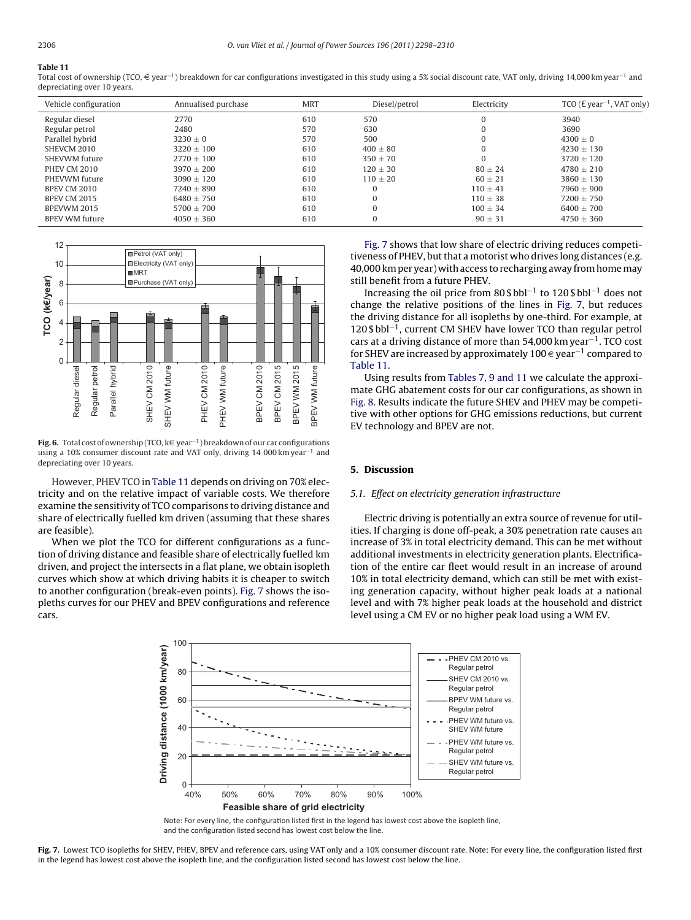<span id="page-8-0"></span>Total cost of ownership (TCO, € year<sup>-1</sup>) breakdown for car configurations investigated in this study using a 5% social discount rate, VAT only, driving 14,000 km year<sup>-1</sup> and depreciating over 10 years.

| Vehicle configuration | Annualised purchase | <b>MRT</b> | Diesel/petrol | Electricity  | TCO ( $E$ year <sup>-1</sup> , VAT only) |
|-----------------------|---------------------|------------|---------------|--------------|------------------------------------------|
| Regular diesel        | 2770                | 610        | 570           | $\Omega$     | 3940                                     |
| Regular petrol        | 2480                | 570        | 630           | $\Omega$     | 3690                                     |
| Parallel hybrid       | $3230 \pm 0$        | 570        | 500           | $\Omega$     | $4300 + 0$                               |
| SHEVCM 2010           | $3220 + 100$        | 610        | $400 + 80$    |              | $4230 + 130$                             |
| SHEVWM future         | $2770 + 100$        | 610        | $350 + 70$    |              | $3720 + 120$                             |
| <b>PHEV CM 2010</b>   | $3970 + 200$        | 610        | $120 + 30$    | $80 + 24$    | $4780 + 210$                             |
| PHEVWM future         | $3090 + 120$        | 610        | $110 \pm 20$  | $60 + 21$    | $3860 + 130$                             |
| BPEV CM 2010          | $7240 + 890$        | 610        | 0             | $110 + 41$   | $7960 + 900$                             |
| <b>BPEV CM 2015</b>   | $6480 + 750$        | 610        | $\Omega$      | $110 \pm 38$ | $7200 \pm 750$                           |
| BPEVWM 2015           | $5700 + 700$        | 610        | $\Omega$      | $100 + 34$   | $6400 + 700$                             |
| <b>BPEV WM future</b> | $4050 \pm 360$      | 610        | 0             | $90 \pm 31$  | $4750 \pm 360$                           |



**Fig. 6.** Total cost of ownership (TCO, k€ year<sup>-1</sup>) breakdown of our car configurations using a 10% consumer discount rate and VAT only, driving 14 000 km year<sup>-1</sup> and depreciating over 10 years.

However, PHEV TCO in Table 11 depends on driving on 70% electricity and on the relative impact of variable costs. We therefore examine the sensitivity of TCO comparisons to driving distance and share of electrically fuelled km driven (assuming that these shares are feasible).

When we plot the TCO for different configurations as a function of driving distance and feasible share of electrically fuelled km driven, and project the intersects in a flat plane, we obtain isopleth curves which show at which driving habits it is cheaper to switch to another configuration (break-even points). Fig. 7 shows the isopleths curves for our PHEV and BPEV configurations and reference cars.

Fig. 7 shows that low share of electric driving reduces competitiveness of PHEV, but that a motorist who drives long distances (e.g. 40,000 km per year) with access to recharging away from homemay still benefit from a future PHEV.

Increasing the oil price from 80 \$ bbl−<sup>1</sup> to 120 \$ bbl−<sup>1</sup> does not change the relative positions of the lines in Fig. 7, but reduces the driving distance for all isopleths by one-third. For example, at 120 \$ bbl−1, current CM SHEV have lower TCO than regular petrol cars at a driving distance of more than 54,000 km year−1. TCO cost for SHEV are increased by approximately 100 € year<sup>-1</sup> compared to Table 11.

Using results from [Tables 7, 9 and 11](#page-6-0) we calculate the approximate GHG abatement costs for our car configurations, as shown in [Fig. 8. R](#page-9-0)esults indicate the future SHEV and PHEV may be competitive with other options for GHG emissions reductions, but current EV technology and BPEV are not.

## **5. Discussion**

#### 5.1. Effect on electricity generation infrastructure

Electric driving is potentially an extra source of revenue for utilities. If charging is done off-peak, a 30% penetration rate causes an increase of 3% in total electricity demand. This can be met without additional investments in electricity generation plants. Electrification of the entire car fleet would result in an increase of around 10% in total electricity demand, which can still be met with existing generation capacity, without higher peak loads at a national level and with 7% higher peak loads at the household and district level using a CM EV or no higher peak load using a WM EV.



Note: For every line, the configuration listed first in the legend has lowest cost above the isopleth line, and the configuration listed second has lowest cost below the line.

**Fig. 7.** Lowest TCO isopleths for SHEV, PHEV, BPEV and reference cars, using VAT only and a 10% consumer discount rate. Note: For every line, the configuration listed first in the legend has lowest cost above the isopleth line, and the configuration listed second has lowest cost below the line.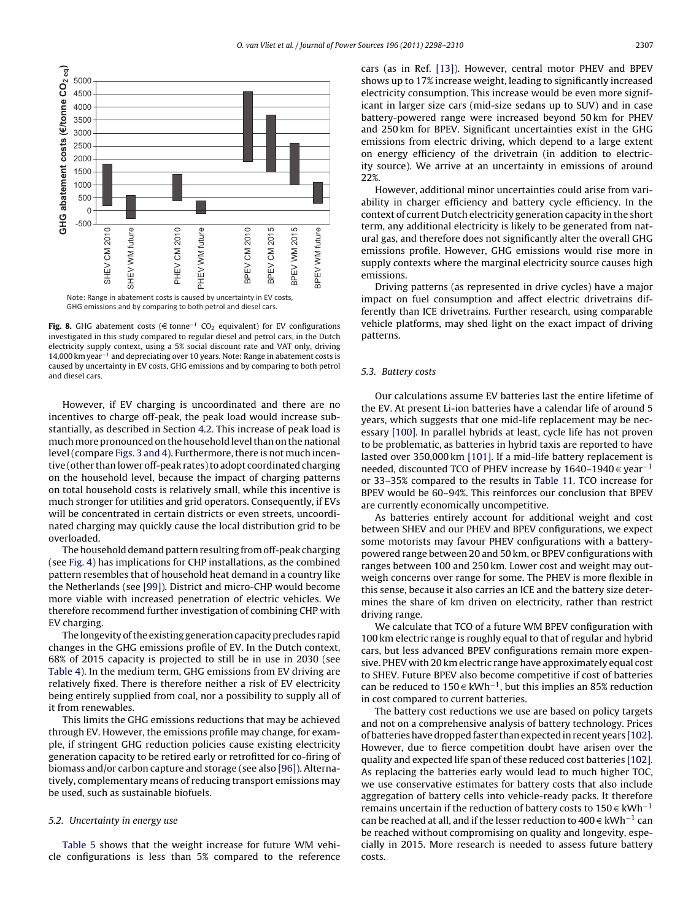<span id="page-9-0"></span>

**Fig. 8.** GHG abatement costs (€ tonne<sup>-1</sup> CO<sub>2</sub> equivalent) for EV configurations investigated in this study compared to regular diesel and petrol cars, in the Dutch electricity supply context, using a 5% social discount rate and VAT only, driving 14,000 km year−<sup>1</sup> and depreciating over 10 years. Note: Range in abatement costs is caused by uncertainty in EV costs, GHG emissions and by comparing to both petrol and diesel cars.

However, if EV charging is uncoordinated and there are no incentives to charge off-peak, the peak load would increase substantially, as described in Section [4.2. T](#page-6-0)his increase of peak load is muchmore pronounced on the household level than on the national level (compare [Figs. 3 and 4\). F](#page-6-0)urthermore, there is not much incentive (other than lower off-peak rates) to adopt coordinated charging on the household level, because the impact of charging patterns on total household costs is relatively small, while this incentive is much stronger for utilities and grid operators. Consequently, if EVs will be concentrated in certain districts or even streets, uncoordinated charging may quickly cause the local distribution grid to be overloaded.

The household demand pattern resulting from off-peak charging (see [Fig. 4\)](#page-6-0) has implications for CHP installations, as the combined pattern resembles that of household heat demand in a country like the Netherlands (see [\[99\]\).](#page-12-0) District and micro-CHP would become more viable with increased penetration of electric vehicles. We therefore recommend further investigation of combining CHP with EV charging.

The longevity of the existing generation capacity precludes rapid changes in the GHG emissions profile of EV. In the Dutch context, 68% of 2015 capacity is projected to still be in use in 2030 (see [Table 4\).](#page-5-0) In the medium term, GHG emissions from EV driving are relatively fixed. There is therefore neither a risk of EV electricity being entirely supplied from coal, nor a possibility to supply all of it from renewables.

This limits the GHG emissions reductions that may be achieved through EV. However, the emissions profile may change, for example, if stringent GHG reduction policies cause existing electricity generation capacity to be retired early or retrofitted for co-firing of biomass and/or carbon capture and storage (see also [\[96\]\).](#page-12-0) Alternatively, complementary means of reducing transport emissions may be used, such as sustainable biofuels.

## 5.2. Uncertainty in energy use

[Table 5](#page-5-0) shows that the weight increase for future WM vehicle configurations is less than 5% compared to the reference cars (as in Ref. [\[13\]\).](#page-10-0) However, central motor PHEV and BPEV shows up to 17% increase weight, leading to significantly increased electricity consumption. This increase would be even more significant in larger size cars (mid-size sedans up to SUV) and in case battery-powered range were increased beyond 50 km for PHEV and 250 km for BPEV. Significant uncertainties exist in the GHG emissions from electric driving, which depend to a large extent on energy efficiency of the drivetrain (in addition to electricity source). We arrive at an uncertainty in emissions of around 22%.

However, additional minor uncertainties could arise from variability in charger efficiency and battery cycle efficiency. In the context of current Dutch electricity generation capacity in the short term, any additional electricity is likely to be generated from natural gas, and therefore does not significantly alter the overall GHG emissions profile. However, GHG emissions would rise more in supply contexts where the marginal electricity source causes high emissions.

Driving patterns (as represented in drive cycles) have a major impact on fuel consumption and affect electric drivetrains differently than ICE drivetrains. Further research, using comparable vehicle platforms, may shed light on the exact impact of driving patterns.

## 5.3. Battery costs

Our calculations assume EV batteries last the entire lifetime of the EV. At present Li-ion batteries have a calendar life of around 5 years, which suggests that one mid-life replacement may be necessary [\[100\]. I](#page-12-0)n parallel hybrids at least, cycle life has not proven to be problematic, as batteries in hybrid taxis are reported to have lasted over 350,000 km [\[101\]. I](#page-12-0)f a mid-life battery replacement is needed, discounted TCO of PHEV increase by 1640–1940  $\in$  year<sup>-1</sup> or 33–35% compared to the results in [Table 11.](#page-8-0) TCO increase for BPEV would be 60–94%. This reinforces our conclusion that BPEV are currently economically uncompetitive.

As batteries entirely account for additional weight and cost between SHEV and our PHEV and BPEV configurations, we expect some motorists may favour PHEV configurations with a batterypowered range between 20 and 50 km, or BPEV configurations with ranges between 100 and 250 km. Lower cost and weight may outweigh concerns over range for some. The PHEV is more flexible in this sense, because it also carries an ICE and the battery size determines the share of km driven on electricity, rather than restrict driving range.

We calculate that TCO of a future WM BPEV configuration with 100 km electric range is roughly equal to that of regular and hybrid cars, but less advanced BPEV configurations remain more expensive. PHEV with 20 km electric range have approximately equal cost to SHEV. Future BPEV also become competitive if cost of batteries can be reduced to 150  $∈$  kWh<sup>-1</sup>, but this implies an 85% reduction in cost compared to current batteries.

The battery cost reductions we use are based on policy targets and not on a comprehensive analysis of battery technology. Prices of batteries have dropped faster than expected in recent years [\[102\].](#page-12-0) However, due to fierce competition doubt have arisen over the quality and expected life span of these reduced cost batteries [\[102\].](#page-12-0) As replacing the batteries early would lead to much higher TOC, we use conservative estimates for battery costs that also include aggregation of battery cells into vehicle-ready packs. It therefore remains uncertain if the reduction of battery costs to 150  $∈$  kWh<sup>-1</sup> can be reached at all, and if the lesser reduction to 400  $\in$  kWh<sup>-1</sup> can be reached without compromising on quality and longevity, especially in 2015. More research is needed to assess future battery costs.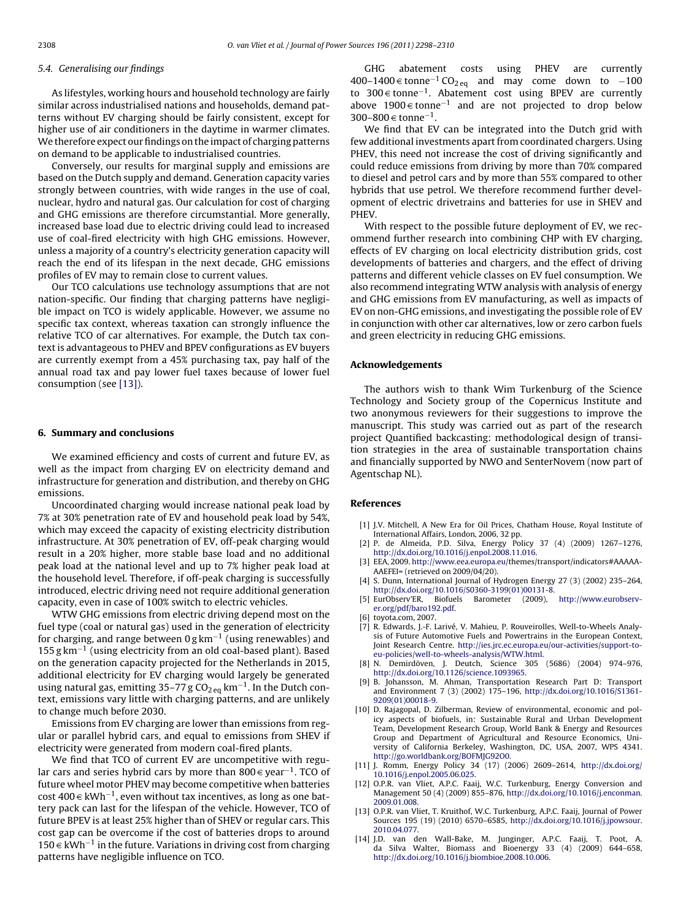#### <span id="page-10-0"></span>5.4. Generalising our findings

As lifestyles, working hours and household technology are fairly similar across industrialised nations and households, demand patterns without EV charging should be fairly consistent, except for higher use of air conditioners in the daytime in warmer climates. We therefore expect our findings on the impact of charging patterns on demand to be applicable to industrialised countries.

Conversely, our results for marginal supply and emissions are based on the Dutch supply and demand. Generation capacity varies strongly between countries, with wide ranges in the use of coal, nuclear, hydro and natural gas. Our calculation for cost of charging and GHG emissions are therefore circumstantial. More generally, increased base load due to electric driving could lead to increased use of coal-fired electricity with high GHG emissions. However, unless a majority of a country's electricity generation capacity will reach the end of its lifespan in the next decade, GHG emissions profiles of EV may to remain close to current values.

Our TCO calculations use technology assumptions that are not nation-specific. Our finding that charging patterns have negligible impact on TCO is widely applicable. However, we assume no specific tax context, whereas taxation can strongly influence the relative TCO of car alternatives. For example, the Dutch tax context is advantageous to PHEV and BPEV configurations as EV buyers are currently exempt from a 45% purchasing tax, pay half of the annual road tax and pay lower fuel taxes because of lower fuel consumption (see [13]).

#### **6. Summary and conclusions**

We examined efficiency and costs of current and future EV, as well as the impact from charging EV on electricity demand and infrastructure for generation and distribution, and thereby on GHG emissions.

Uncoordinated charging would increase national peak load by 7% at 30% penetration rate of EV and household peak load by 54%, which may exceed the capacity of existing electricity distribution infrastructure. At 30% penetration of EV, off-peak charging would result in a 20% higher, more stable base load and no additional peak load at the national level and up to 7% higher peak load at the household level. Therefore, if off-peak charging is successfully introduced, electric driving need not require additional generation capacity, even in case of 100% switch to electric vehicles.

WTW GHG emissions from electric driving depend most on the fuel type (coal or natural gas) used in the generation of electricity for charging, and range between 0 g km−<sup>1</sup> (using renewables) and 155 g km−<sup>1</sup> (using electricity from an old coal-based plant). Based on the generation capacity projected for the Netherlands in 2015, additional electricity for EV charging would largely be generated using natural gas, emitting 35–77 g  $CO<sub>2 eq</sub>$  km<sup>-1</sup>. In the Dutch context, emissions vary little with charging patterns, and are unlikely to change much before 2030.

Emissions from EV charging are lower than emissions from regular or parallel hybrid cars, and equal to emissions from SHEV if electricity were generated from modern coal-fired plants.

We find that TCO of current EV are uncompetitive with regular cars and series hybrid cars by more than 800  $\in$  year<sup>-1</sup>. TCO of future wheel motor PHEV may become competitive when batteries cost 400  $\in$  kWh<sup>-1</sup>, even without tax incentives, as long as one battery pack can last for the lifespan of the vehicle. However, TCO of future BPEV is at least 25% higher than of SHEV or regular cars. This cost gap can be overcome if the cost of batteries drops to around 150 € kWh<sup>-1</sup> in the future. Variations in driving cost from charging patterns have negligible influence on TCO.

GHG abatement costs using PHEV are currently 400–1400 € tonne<sup>-1</sup> CO<sub>2eq</sub> and may come down to -100 to 300 € tonne<sup>-1</sup>. Abatement cost using BPEV are currently above 1900  $\in$  tonne<sup>−1</sup> and are not projected to drop below 300–800  $∈$  tonne<sup>-1</sup>.

We find that EV can be integrated into the Dutch grid with few additional investments apart from coordinated chargers. Using PHEV, this need not increase the cost of driving significantly and could reduce emissions from driving by more than 70% compared to diesel and petrol cars and by more than 55% compared to other hybrids that use petrol. We therefore recommend further development of electric drivetrains and batteries for use in SHEV and PHEV.

With respect to the possible future deployment of EV, we recommend further research into combining CHP with EV charging, effects of EV charging on local electricity distribution grids, cost developments of batteries and chargers, and the effect of driving patterns and different vehicle classes on EV fuel consumption. We also recommend integrating WTW analysis with analysis of energy and GHG emissions from EV manufacturing, as well as impacts of EV on non-GHG emissions, and investigating the possible role of EV in conjunction with other car alternatives, low or zero carbon fuels and green electricity in reducing GHG emissions.

#### **Acknowledgements**

The authors wish to thank Wim Turkenburg of the Science Technology and Society group of the Copernicus Institute and two anonymous reviewers for their suggestions to improve the manuscript. This study was carried out as part of the research project Quantified backcasting: methodological design of transition strategies in the area of sustainable transportation chains and financially supported by NWO and SenterNovem (now part of Agentschap NL).

#### **References**

- [1] J.V. Mitchell, A New Era for Oil Prices, Chatham House, Royal Institute of International Affairs, London, 2006, 32 pp.
- [2] P. de Almeida, P.D. Silva, Energy Policy 37 (4) (2009) 1267–1276, [http://dx.doi.org/10.1016/j.enpol.2008.11.016.](http://dx.doi.org/10.1016/j.enpol.2008.11.016)
- [3] EEA, 2009. [http://www.eea.europa.eu](http://www.eea.europa.eu/)/themes/transport/indicators#AAAAA-AAEFEI= (retrieved on 2009/04/20).
- [4] S. Dunn, International Journal of Hydrogen Energy 27 (3) (2002) 235-264, [http://dx.doi.org/10.1016/S0360-3199\(01\)00131-8.](http://dx.doi.org/10.1016/S0360-3199(01)00131-8)
- [5] EurObserv'ER, Biofuels Barometer (2009), [http://www.eurobserv](http://www.eurobserv-er.org/pdf/baro192.pdf)er.org/pdf/baro192.pdf.
- [6] toyota.com, 2007.
- [7] R. Edwards, J.-F. Larivé, V. Mahieu, P. Rouveirolles, Well-to-Wheels Analysis of Future Automotive Fuels and Powertrains in the European Context, Joint Research Centre. [http://ies.jrc.ec.europa.eu/our-activities/support-to](http://ies.jrc.ec.europa.eu/our-activities/support-to-eu-policies/well-to-wheels-analysis/WTW.html)eu-policies/well-to-wheels-analysis/WTW.html.
- [8] N. Demirdöven, J. Deutch, Science 305 (5686) (2004) 974–976, <http://dx.doi.org/10.1126/science.1093965>.
- [9] B. Johansson, M. Ahman, Transportation Research Part D: Transport and Environment 7 (3) (2002) 175–196, [http://dx.doi.org/10.1016/S1361-](http://dx.doi.org/10.1016/S1361-9209(01)00018-9) 9209(01)00018-9.
- [10] D. Rajagopal, D. Zilberman, Review of environmental, economic and policy aspects of biofuels, in: Sustainable Rural and Urban Development Team, Development Research Group, World Bank & Energy and Resources Group and Department of Agricultural and Resource Economics, University of California Berkeley, Washington, DC, USA, 2007, WPS 4341. <http://go.worldbank.org/BOFMJG92O0>.
- [11] J. Romm, Energy Policy 34 (17) (2006) 2609–2614, [http://dx.doi.org/](http://dx.doi.org/10.1016/j.enpol.2005.06.025) 10.1016/j.enpol.2005.06.025.
- [12] O.P.R. van Vliet, A.P.C. Faaij, W.C. Turkenburg, Energy Conversion and Management 50 (4) (2009) 855–876, [http://dx.doi.org/10.1016/j.enconman.](http://dx.doi.org/10.1016/j.enconman.2009.01.008) 2009.01.008.
- [13] O.P.R. van Vliet, T. Kruithof, W.C. Turkenburg, A.P.C. Faaij, Journal of Power Sources 195 (19) (2010) 6570–6585, [http://dx.doi.org/10.1016/j.jpowsour.](http://dx.doi.org/10.1016/j.jpowsour.2010.04.077) 2010.04.077.
- [14] J.D. van den Wall-Bake, M. Junginger, A.P.C. Faaij, T. Poot, A. da Silva Walter, Biomass and Bioenergy 33 (4) (2009) 644–658, <http://dx.doi.org/10.1016/j.biombioe.2008.10.006>.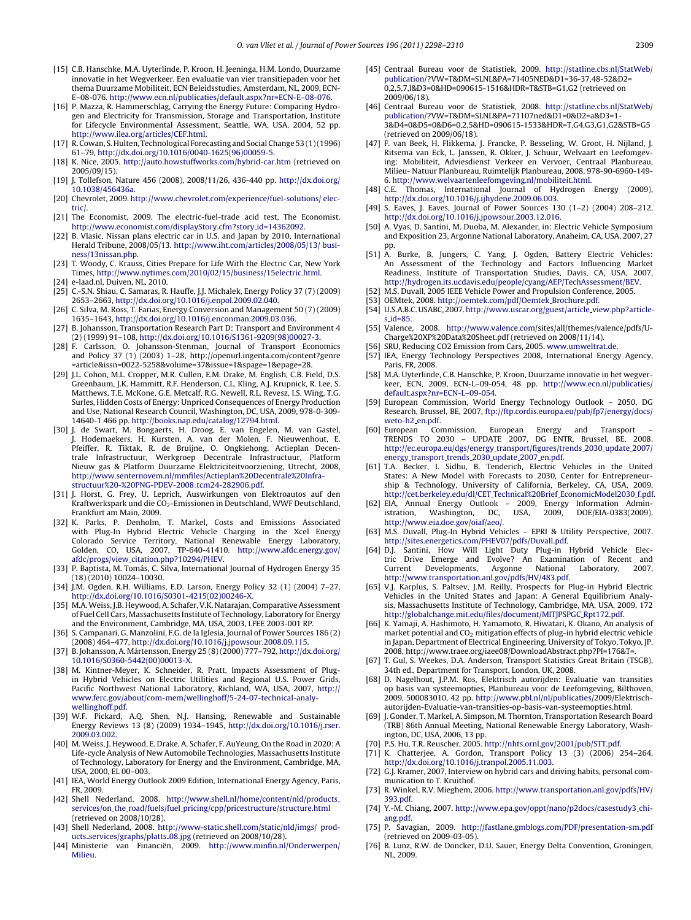- <span id="page-11-0"></span>[15] C.B. Hanschke, M.A. Uyterlinde, P. Kroon, H. Jeeninga, H.M. Londo, Duurzame innovatie in het Wegverkeer. Een evaluatie van vier transitiepaden voor het thema Duurzame Mobiliteit, ECN Beleidsstudies, Amsterdam, NL, 2009, ECN-E–08-076. [http://www.ecn.nl/publicaties/default.aspx?nr=ECN-E–08-076](http://www.ecn.nl/publicaties/default.aspx?nr=ECN-E--08-076).
- [16] P. Mazza, R. Hammerschlag, Carrying the Energy Future: Comparing Hydrogen and Electricity for Transmission, Storage and Transportation, Institute for Lifecycle Environmental Assessment, Seattle, WA, USA, 2004, 52 pp. <http://www.ilea.org/articles/CEF.html>.
- [17] R. Cowan, S. Hulten, Technological Forecasting and Social Change 53 (1) (1996) 61–79, [http://dx.doi.org/10.1016/0040-1625\(96\)00059-5.](http://dx.doi.org/10.1016/0040-1625(96)00059-5)
- [18] K. Nice, 2005. <http://auto.howstuffworks.com/hybrid-car.htm> (retrieved on 2005/09/15).
- [19] J. Tollefson, Nature 456 (2008), 2008/11/26, 436-440 pp. [http://dx.doi.org/](http://dx.doi.org/10.1038/456436a) 10.1038/456436a.
- [20] Chevrolet, 2009. [http://www.chevrolet.com/experience/fuel-solutions/ elec](http://www.chevrolet.com/experience/fuel-solutions/electric/)tric/.
- [21] The Economist, 2009. The electric-fuel-trade acid test, The Economist. [http://www.economist.com/displayStory.cfm?story](http://www.economist.com/displayStory.cfm?story_id=14362092) id=14362092.
- [22] B. Vlasic, Nissan plans electric car in U.S. and Japan by 2010, International Herald Tribune, 2008/05/13. [http://www.iht.com/articles/2008/05/13/ busi](http://www.iht.com/articles/2008/05/13/business/13nissan.php)ness/13nissan.php.
- [23] T. Woody, C. Krauss, Cities Prepare for Life With the Electric Car, New York Times, <http://www.nytimes.com/2010/02/15/business/15electric.html>. [24] e-laad.nl, Duiven, NL, 2010.
- [25] C.-S.N. Shiau, C. Samaras, R. Hauffe, J.J. Michalek, Energy Policy 37 (7) (2009) 2653–2663, <http://dx.doi.org/10.1016/j.enpol.2009.02.040>.
- [26] C. Silva, M. Ross, T. Farias, Energy Conversion and Management 50 (7) (2009) 1635–1643, [http://dx.doi.org/10.1016/j.enconman.2009.03.036.](http://dx.doi.org/10.1016/j.enconman.2009.03.036)
- [27] B. Johansson, Transportation Research Part D: Transport and Environment 4 (2) (1999) 91–108, [http://dx.doi.org/10.1016/S1361-9209\(98\)00027-3](http://dx.doi.org/10.1016/S1361-9209(98)00027-3).
- [28] F. Carlsson, O. Johansson-Stenman, Journal of Transport Economics and Policy 37 (1) (2003) 1–28, http://openurl.ingenta.com/content?genre
- =article&issn=0022-5258&volume=37&issue=1&spage=1&epage=28. [29] J.L. Cohon, M.L. Cropper, M.R. Cullen, E.M. Drake, M. English, C.B. Field, D.S. Greenbaum, J.K. Hammitt, R.F. Henderson, C.L. Kling, A.J. Krupnick, R. Lee, S. Matthews, T.E. McKone, G.E. Metcalf, R.G. Newell, R.L. Revesz, I.S. Wing, T.G. Surles, Hidden Costs of Energy: Unpriced Consequences of Energy Production and Use, National Research Council, Washington, DC, USA, 2009, 978-0-309- 14640-1 466 pp. <http://books.nap.edu/catalog/12794.html>.
- [30] J. de Swart, M. Bongaerts, H. Droog, E. van Engelen, M. van Gastel, J. Hodemaekers, H. Kursten, A. van der Molen, F. Nieuwenhout, E. Pfeiffer, R. Tiktak, R. de Bruijne, O. Ongkiehong, Actieplan Decentrale Infrastructuur, Werkgroep Decentrale Infrastructuur, Platform Nieuw gas & Platform Duurzame Elektriciteitvoorziening, Utrecht, 2008, [http://www.senternovem.nl/mmfiles/Actieplan%20Decentrale%20Infra](http://www.senternovem.nl/mmfiles/Actieplan%20Decentrale%20Infrastructuur%20-%20PNG-PDEV-2008_tcm24-282906.pdf)structuur%20-%20PNG-PDEV-2008 tcm24-282906.pdf.
- [31] J. Horst, G. Frey, U. Leprich, Auswirkungen von Elektroautos auf den Kraftwerkspark und die CO2-Emissionen in Deutschland, WWF Deutschland, Frankfurt am Main, 2009.
- [32] K. Parks, P. Denholm, T. Markel, Costs and Emissions Associated with Plug-In Hybrid Electric Vehicle Charging in the Xcel Energy Colorado Service Territory, National Renewable Energy Laboratory, Golden, CO, USA, 2007, TP-640-41410. http://www.afdc.energy.gov/ afdc/progs/view citation.php?10294/PHEV.
- [33] P. Baptista, M. Tomás, C. Silva, International Journal of Hydrogen Energy 35 (18) (2010) 10024–10030.
- [34] J.M. Ogden, R.H. Williams, E.D. Larson, Energy Policy 32 (1) (2004) 7–27, [http://dx.doi.org/10.1016/S0301-4215\(02\)00246-X](http://dx.doi.org/10.1016/S0301-4215(02)00246-X).
- [35] M.A.Weiss, J.B. Heywood, A. Schafer, V.K. Natarajan, Comparative Assessment of Fuel Cell Cars, Massachusetts Institute of Technology, Laboratory for Energy and the Environment, Cambridge, MA, USA, 2003, LFEE 2003-001 RP.
- [36] S. Campanari, G. Manzolini, F.G. de la Iglesia, Journal of Power Sources 186 (2) (2008) 464–477, <http://dx.doi.org/10.1016/j.jpowsour.2008.09.115>.
- [37] B. Johansson, A. Mårtensson, Energy 25 (8) (2000) 777–792, http://dx.doi.org/ 10.1016/S0360-5442(00)00013-X.
- [38] M. Kintner-Meyer, K. Schneider, R. Pratt, Impacts Assessment of Plugin Hybrid Vehicles on Electric Utilities and Regional U.S. Power Grids, Pacific Northwest National Laboratory, Richland, WA, USA, 2007, http:// www.ferc.gov/about/com-mem/wellinghoff/5-24-07-technical-analywellinghoff.pdf.
- [39] W.F. Pickard, A.Q. Shen, N.J. Hansing, Renewable and Sustainable Energy Reviews 13 (8) (2009) 1934–1945, [http://dx.doi.org/10.1016/j.rser.](http://dx.doi.org/10.1016/j.rser.2009.03.002) 2009.03.002.
- [40] M. Weiss, J. Heywood, E. Drake, A. Schafer, F. AuYeung, On the Road in 2020: A Life-cycle Analysis of New Automobile Technologies, Massachusetts Institute of Technology, Laboratory for Energy and the Environment, Cambridge, MA, USA, 2000, EL 00–003.
- [41] IEA, World Energy Outlook 2009 Edition, International Energy Agency, Paris, FR, 2009.
- [42] Shell Nederland, 2008. [http://www.shell.nl/home/content/nld/products](http://www.shell.nl/home/content/nld/products_services/on_the_road/fuels/fuel_pricing/cpp/pricestructure/structure.html)\_ services/on the road/fuels/fuel pricing/cpp/pricestructure/structure.html (retrieved on 2008/10/28).
- [43] Shell Nederland, 2008. [http://www-static.shell.com/static/nld/imgs/ prod](http://www-static.shell.com/static/nld/imgs/products_services/graphs/platts_08.jpg)ucts services/graphs/platts 08.jpg (retrieved on 2008/10/28).
- [44] Ministerie van Financiën, 2009. [http://www.minfin.nl/Onderwerpen/](http://www.minfin.nl/Onderwerpen/Milieu) Milieu.
- [45] Centraal Bureau voor de Statistiek, 2009. [http://statline.cbs.nl/StatWeb/](http://statline.cbs.nl/StatWeb/publication) publication/?VW=T&DM=SLNL&PA=71405NED&D1=36-37,48-52&D2= 0,2,5,7,l&D3=0&HD=090615-1516&HDR=T&STB=G1,G2 (retrieved on 2009/06/18).
- [46] Centraal Bureau voor de Statistiek, 2008. [http://statline.cbs.nl/StatWeb/](http://statline.cbs.nl/StatWeb/publication) publication/?VW=T&DM=SLNL&PA=71107ned&D1=0&D2=a&D3=1- 3&D4=0&D5=0&D6=0,2,5&HD=090615-1533&HDR=T,G4,G3,G1,G2&STB=G5 (retrieved on 2009/06/18).
- [47] F. van Beek, H. Flikkema, J. Francke, P. Besseling, W. Groot, H. Nijland, J. Ritsema van Eck, L. Janssen, R. Okker, J. Schuur, Welvaart en Leefomgeving: Mobiliteit, Adviesdienst Verkeer en Vervoer, Centraal Planbureau, Milieu- Natuur Planbureau, Ruimtelijk Planbureau, 2008, 978-90-6960-149- 6. [http://www.welvaartenleefomgeving.nl/mobiliteit.html.](http://www.welvaartenleefomgeving.nl/mobiliteit.html)
- [48] C.E. Thomas, International Journal of Hydrogen Energy (2009), <http://dx.doi.org/10.1016/j.ijhydene.2009.06.003>.
- [49] S. Eaves, J. Eaves, Journal of Power Sources 130 (1–2) (2004) 208–212, [http://dx.doi.org/10.1016/j.jpowsour.2003.12.016.](http://dx.doi.org/10.1016/j.jpowsour.2003.12.016)
- [50] A. Vyas, D. Santini, M. Duoba, M. Alexander, in: Electric Vehicle Symposium and Exposition 23, Argonne National Laboratory, Anaheim, CA, USA, 2007, 27 pp.
- [51] A. Burke, B. Jungers, C. Yang, J. Ogden, Battery Electric Vehicles: An Assessment of the Technology and Factors Influencing Market Readiness, Institute of Transportation Studies, Davis, CA, USA, 2007, <http://hydrogen.its.ucdavis.edu/people/cyang/AEP/TechAssessment/BEV>.
- [52] M.S. Duvall, 2005 IEEE Vehicle Power and Propulsion Conference, 2005.
- [53] OEMtek, 2008. [http://oemtek.com/pdf/Oemtek](http://oemtek.com/pdf/Oemtek_Brochure.pdf) Brochure.pdf.
- [54] U.S.A.B.C. USABC, 2007.[http://www.uscar.org/guest/article](http://www.uscar.org/guest/article_view.php?articles_id=85) view.php?articles id=85.
- [55] Valence, 2008. [http://www.valence.com](http://www.valence.com/)/sites/all/themes/valence/pdfs/U-Charge%20XP%20Data%20Sheet.pdf (retrieved on 2008/11/14).
- [56] SRU, Reducing CO2 Emission from Cars, 2005. [www.umweltrat.de.](http://www.umweltrat.de/)
- [57] IEA, Energy Technology Perspectives 2008, International Energy Agency, Paris, FR, 2008.
- [58] M.A. Uyterlinde, C.B. Hanschke, P. Kroon, Duurzame innovatie in het wegverkeer, ECN, 2009, ECN-L–09-054, 48 pp. [http://www.ecn.nl/publicaties/](http://www.ecn.nl/publicaties/default.aspx?nr=ECN-L--09-054) default.aspx?nr=ECN-L–09-054.
- [59] European Commission, World Energy Technology Outlook 2050, DG Research, Brussel, BE, 2007, [ftp://ftp.cordis.europa.eu/pub/fp7/energy/docs/](ftp://ftp.cordis.europa.eu/pub/fp7/energy/docs/weto-h2_en.pdf) weto-h2\_en.pdf.<br>[60] European Co
- [60] European Commission, European Energy and Transport TRENDS TO 2030 UPDATE 2007, DG ENTR, Brussel, BE, 2008. [http://ec.europa.eu/dgs/energy](http://ec.europa.eu/dgs/energy_transport/figures/trends_2030_update_2007/energy_transport_trends_2030_update_2007_en.pdf) transport/figures/trends 2030 update 2007/ energy transport trends 2030 update 2007 en.pdf.
- [61] T.A. Becker, I. Sidhu, B. Tenderich, Electric Vehicles in the United States: A New Model with Forecasts to 2030, Center for Entrepreneurship & Technology, University of California, Berkeley, CA, USA, 2009, [http://cet.berkeley.edu/dl/CET](http://cet.berkeley.edu/dl/CET_Technical%20Brief_EconomicModel2030_f.pdf) Technical%20Brief EconomicModel2030 f.pdf.
- [62] EIA, Annual Energy Outlook 2009, Energy Information Administration, Washington, DC, USA, 2009, DOE/EIA-0383(2009). <http://www.eia.doe.gov/oiaf/aeo/>.
- [63] M.S. Duvall, Plug-In Hybrid Vehicles EPRI & Utility Perspective, 2007. [http://sites.energetics.com/PHEV07/pdfs/Duvall.pdf.](http://sites.energetics.com/PHEV07/pdfs/Duvall.pdf)
- [\[64\] D.J. Santini, How Will Li](http://www.afdc.energy.gov/afdc/progs/view_citation.php?10294/PHEV)ght Duty Plug-in Hybrid Vehicle Electric Drive Emerge and Evolve? An Examination of Recent and Current Developments, Argonne National Laboratory, 2007, <http://www.transportation.anl.gov/pdfs/HV/483.pdf>.
- [65] V.J. Karplus, S. Paltsev, J.M. Reilly, Prospects for Plug-in Hybrid Electric Vehicles in the United States and Japan: A General Equilibrium Analysis, Massachusetts Institute of Technology, Cambridge, MA, USA, 2009, 172 [http://globalchange.mit.edu/files/document/MITJPSPGC](http://globalchange.mit.edu/files/document/MITJPSPGC_Rpt172.pdf) Rpt172.pdf.
- [66] K. Yamaji, A. Hashimoto, H. Yamamoto, R. Hiwatari, K. Okano, An analysis of market potential and  $CO<sub>2</sub>$  mitigation effects of plug-in hybrid electric vehicle in Japan, Department of Electrical Engineering, University of Tokyo, Tokyo, JP, [2008, http://www.trae](http://dx.doi.org/10.1016/S0360-5442(00)00013-X)e.org/iaee08/DownloadAbstract.php?PI=176&T=.
- [67] T. Gul, S. Weekes, D.A. Anderson, Transport Statistics Great Britain (TSGB), 34th ed., Department for Transport, London, UK, 2008.
- [68] D. Nagelhout, J.P.M. Ros, Elektrisch autorijden: Evaluatie van transities [op basis van systeemopties, Planbureau voor de Leefomgeving, Bilthove](http://www.ferc.gov/about/com-mem/wellinghoff/5-24-07-technical-analy-wellinghoff.pdf)n, 2009, 500083010, 42 pp. <http://www.pbl.nl/nl/publicaties>/2009/Elektrischautorijden-Evaluatie-van-transities-op-basis-van-systeemopties.html.
- [69] J. Gonder, T. Markel, A. Simpson, M. Thornton, Transportation Research Board (TRB) 86th Annual Meeting, National Renewable Energy Laboratory, Washington, DC, USA, 2006, 13 pp.
- [70] P.S. Hu, T.R. Reuscher, 2005. <http://nhts.ornl.gov/2001/pub/STT.pdf>.
- [71] K. Chatterjee, A. Gordon, Transport Policy 13 (3) (2006) 254–264, <http://dx.doi.org/10.1016/j.tranpol.2005.11.003>.
- [72] G.J. Kramer, 2007, Interview on hybrid cars and driving habits, personal communication to T. Kruithof.
- [73] R. Winkel, R.V. Mieghem, 2006. [http://www.transportation.anl.gov/pdfs/HV/](http://www.transportation.anl.gov/pdfs/HV/393.pdf) 393.pdf.
- [74] Y.-M. Chiang, 2007. [http://www.epa.gov/oppt/nano/p2docs/casestudy3](http://www.epa.gov/oppt/nano/p2docs/casestudy3_chiang.pdf) chiang.pdf.
- [75] P. Savagian, 2009. <http://fastlane.gmblogs.com/PDF/presentation-sm.pdf> (retrieved on 2009-03-05).
- [76] B. Lunz, R.W. de Doncker, D.U. Sauer, Energy Delta Convention, Groningen, NL, 2009.